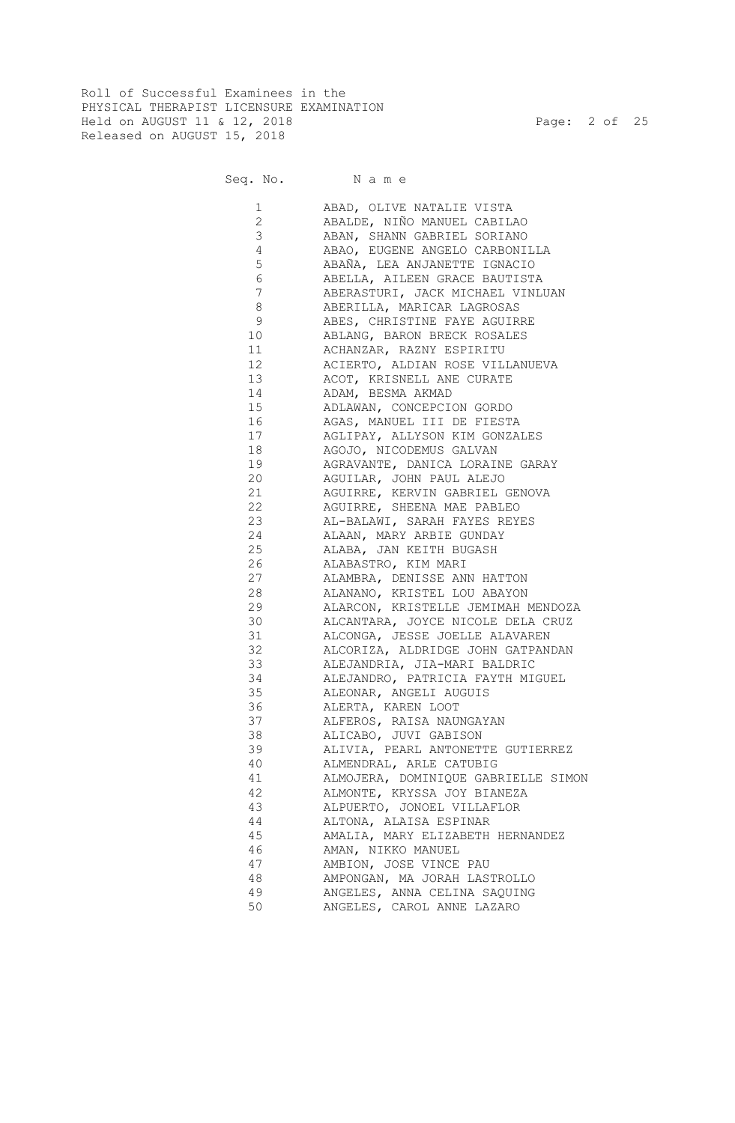Roll of Successful Examinees in the PHYSICAL THERAPIST LICENSURE EXAMINATION Held on AUGUST 11 & 12, 2018 Page: 2 of 25 Released on AUGUST 15, 2018

Seq. No. Name

 1 ABAD, OLIVE NATALIE VISTA 2 ABALDE, NIÑO MANUEL CABILAO 3 ABAN, SHANN GABRIEL SORIANO 4 ABAO, EUGENE ANGELO CARBONILLA 5 ABAÑA, LEA ANJANETTE IGNACIO 6 ABELLA, AILEEN GRACE BAUTISTA 7 ABERASTURI, JACK MICHAEL VINLUAN 8 ABERILLA, MARICAR LAGROSAS 9 ABES, CHRISTINE FAYE AGUIRRE 10 ABLANG, BARON BRECK ROSALES 11 ACHANZAR, RAZNY ESPIRITU 12 ACIERTO, ALDIAN ROSE VILLANUEVA 13 ACOT, KRISNELL ANE CURATE 14 ADAM, BESMA AKMAD 15 ADLAWAN, CONCEPCION GORDO 16 AGAS, MANUEL III DE FIESTA 17 AGLIPAY, ALLYSON KIM GONZALES 18 AGOJO, NICODEMUS GALVAN 19 AGRAVANTE, DANICA LORAINE GARAY 20 AGUILAR, JOHN PAUL ALEJO 21 AGUIRRE, KERVIN GABRIEL GENOVA 22 AGUIRRE, SHEENA MAE PABLEO 23 AL-BALAWI, SARAH FAYES REYES 24 ALAAN, MARY ARBIE GUNDAY 25 ALABA, JAN KEITH BUGASH 26 ALABASTRO, KIM MARI 27 ALAMBRA, DENISSE ANN HATTON 28 ALANANO, KRISTEL LOU ABAYON 29 ALARCON, KRISTELLE JEMIMAH MENDOZA 30 ALCANTARA, JOYCE NICOLE DELA CRUZ 31 ALCONGA, JESSE JOELLE ALAVAREN 32 ALCORIZA, ALDRIDGE JOHN GATPANDAN 33 ALEJANDRIA, JIA-MARI BALDRIC 34 ALEJANDRO, PATRICIA FAYTH MIGUEL 35 ALEONAR, ANGELI AUGUIS 36 ALERTA, KAREN LOOT 37 ALFEROS, RAISA NAUNGAYAN 38 ALICABO, JUVI GABISON 39 ALIVIA, PEARL ANTONETTE GUTIERREZ 40 ALMENDRAL, ARLE CATUBIG 41 ALMOJERA, DOMINIQUE GABRIELLE SIMON 42 ALMONTE, KRYSSA JOY BIANEZA 43 ALPUERTO, JONOEL VILLAFLOR 44 ALTONA, ALAISA ESPINAR 45 AMALIA, MARY ELIZABETH HERNANDEZ 46 AMAN, NIKKO MANUEL 47 AMBION, JOSE VINCE PAU 48 AMPONGAN, MA JORAH LASTROLLO<br>49 ANGELES, ANNA CELINA SAOUING ANGELES, ANNA CELINA SAQUING 50 ANGELES, CAROL ANNE LAZARO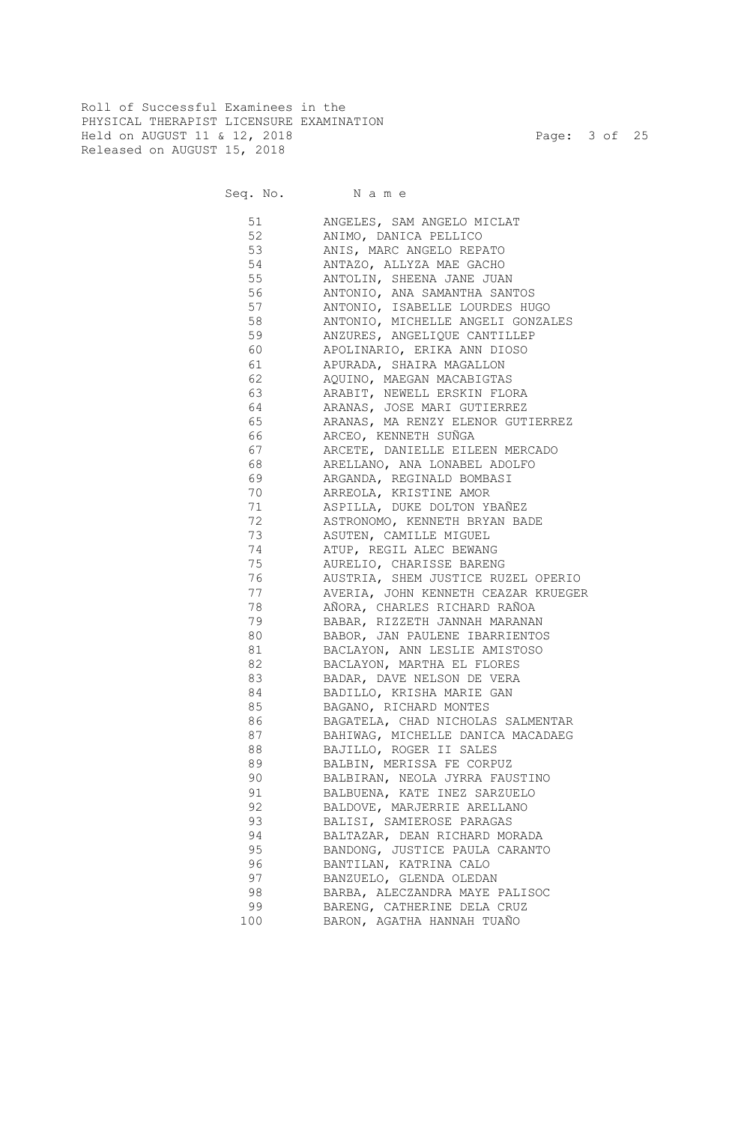Roll of Successful Examinees in the PHYSICAL THERAPIST LICENSURE EXAMINATION Held on AUGUST 11 & 12, 2018 Page: 3 of 25 Released on AUGUST 15, 2018

Seq. No. Name

 51 ANGELES, SAM ANGELO MICLAT 52 ANIMO, DANICA PELLICO 53 ANIS, MARC ANGELO REPATO 54 ANTAZO, ALLYZA MAE GACHO 55 ANTOLIN, SHEENA JANE JUAN 56 ANTONIO, ANA SAMANTHA SANTOS 57 ANTONIO, ISABELLE LOURDES HUGO 58 ANTONIO, MICHELLE ANGELI GONZALES 59 ANZURES, ANGELIQUE CANTILLEP 60 APOLINARIO, ERIKA ANN DIOSO 61 APURADA, SHAIRA MAGALLON 62 AQUINO, MAEGAN MACABIGTAS 63 ARABIT, NEWELL ERSKIN FLORA 64 ARANAS, JOSE MARI GUTIERREZ 65 ARANAS, MA RENZY ELENOR GUTIERREZ 66 ARCEO, KENNETH SUÑGA 67 ARCETE, DANIELLE EILEEN MERCADO 68 ARELLANO, ANA LONABEL ADOLFO 69 ARGANDA, REGINALD BOMBASI 70 ARREOLA, KRISTINE AMOR 71 ASPILLA, DUKE DOLTON YBAÑEZ 72 ASTRONOMO, KENNETH BRYAN BADE 73 ASUTEN, CAMILLE MIGUEL 74 ATUP, REGIL ALEC BEWANG 75 AURELIO, CHARISSE BARENG 76 AUSTRIA, SHEM JUSTICE RUZEL OPERIO 77 AVERIA, JOHN KENNETH CEAZAR KRUEGER 78 AÑORA, CHARLES RICHARD RAÑOA 79 BABAR, RIZZETH JANNAH MARANAN 80 BABOR, JAN PAULENE IBARRIENTOS 81 BACLAYON, ANN LESLIE AMISTOSO 82 BACLAYON, MARTHA EL FLORES 83 BADAR, DAVE NELSON DE VERA 84 BADILLO, KRISHA MARIE GAN 85 BAGANO, RICHARD MONTES 86 BAGATELA, CHAD NICHOLAS SALMENTAR 87 BAHIWAG, MICHELLE DANICA MACADAEG 88 BAJILLO, ROGER II SALES 89 BALBIN, MERISSA FE CORPUZ 90 BALBIRAN, NEOLA JYRRA FAUSTINO 91 BALBUENA, KATE INEZ SARZUELO 92 BALDOVE, MARJERRIE ARELLANO 93 BALISI, SAMIEROSE PARAGAS 94 BALTAZAR, DEAN RICHARD MORADA 95 BANDONG, JUSTICE PAULA CARANTO 96 BANTILAN, KATRINA CALO 97 BANZUELO, GLENDA OLEDAN 98 BARBA, ALECZANDRA MAYE PALISOC 99 BARENG, CATHERINE DELA CRUZ 100 BARON, AGATHA HANNAH TUAÑO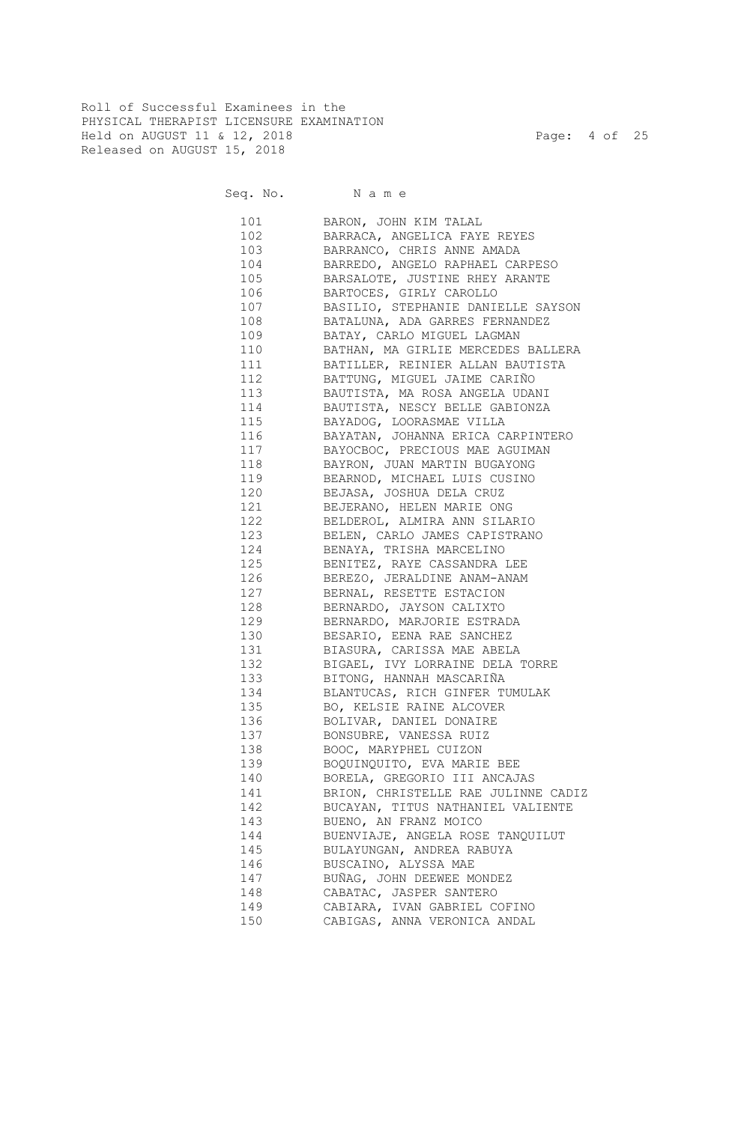Roll of Successful Examinees in the PHYSICAL THERAPIST LICENSURE EXAMINATION Held on AUGUST 11 & 12, 2018 Page: 4 of 25 Released on AUGUST 15, 2018

Seq. No. Name

 101 BARON, JOHN KIM TALAL 102 BARRACA, ANGELICA FAYE REYES 103 BARRANCO, CHRIS ANNE AMADA 104 BARREDO, ANGELO RAPHAEL CARPESO 105 BARSALOTE, JUSTINE RHEY ARANTE 106 BARTOCES, GIRLY CAROLLO 107 BASILIO, STEPHANIE DANIELLE SAYSON 108 BATALUNA, ADA GARRES FERNANDEZ 109 BATAY, CARLO MIGUEL LAGMAN 110 BATHAN, MA GIRLIE MERCEDES BALLERA 111 BATILLER, REINIER ALLAN BAUTISTA 112 BATTUNG, MIGUEL JAIME CARIÑO 113 BAUTISTA, MA ROSA ANGELA UDANI 114 BAUTISTA, NESCY BELLE GABIONZA 115 BAYADOG, LOORASMAE VILLA 116 BAYATAN, JOHANNA ERICA CARPINTERO 117 BAYOCBOC, PRECIOUS MAE AGUIMAN 118 BAYRON, JUAN MARTIN BUGAYONG 119 BEARNOD, MICHAEL LUIS CUSINO 120 BEJASA, JOSHUA DELA CRUZ 121 BEJERANO, HELEN MARIE ONG 122 BELDEROL, ALMIRA ANN SILARIO 123 BELEN, CARLO JAMES CAPISTRANO 124 BENAYA, TRISHA MARCELINO 125 BENITEZ, RAYE CASSANDRA LEE 126 BEREZO, JERALDINE ANAM-ANAM 127 BERNAL, RESETTE ESTACION 128 BERNARDO, JAYSON CALIXTO 129 BERNARDO, MARJORIE ESTRADA 130 BESARIO, EENA RAE SANCHEZ 131 BIASURA, CARISSA MAE ABELA 132 BIGAEL, IVY LORRAINE DELA TORRE 133 BITONG, HANNAH MASCARIÑA 134 BLANTUCAS, RICH GINFER TUMULAK 135 BO, KELSIE RAINE ALCOVER 136 BOLIVAR, DANIEL DONAIRE 137 BONSUBRE, VANESSA RUIZ 138 BOOC, MARYPHEL CUIZON 139 BOQUINQUITO, EVA MARIE BEE 140 BORELA, GREGORIO III ANCAJAS 141 BRION, CHRISTELLE RAE JULINNE CADIZ 142 BUCAYAN, TITUS NATHANIEL VALIENTE 143 BUENO, AN FRANZ MOICO 144 BUENVIAJE, ANGELA ROSE TANQUILUT 145 BULAYUNGAN, ANDREA RABUYA 146 BUSCAINO, ALYSSA MAE 147 BUÑAG, JOHN DEEWEE MONDEZ 148 CABATAC, JASPER SANTERO 149 CABIARA, IVAN GABRIEL COFINO 150 CABIGAS, ANNA VERONICA ANDAL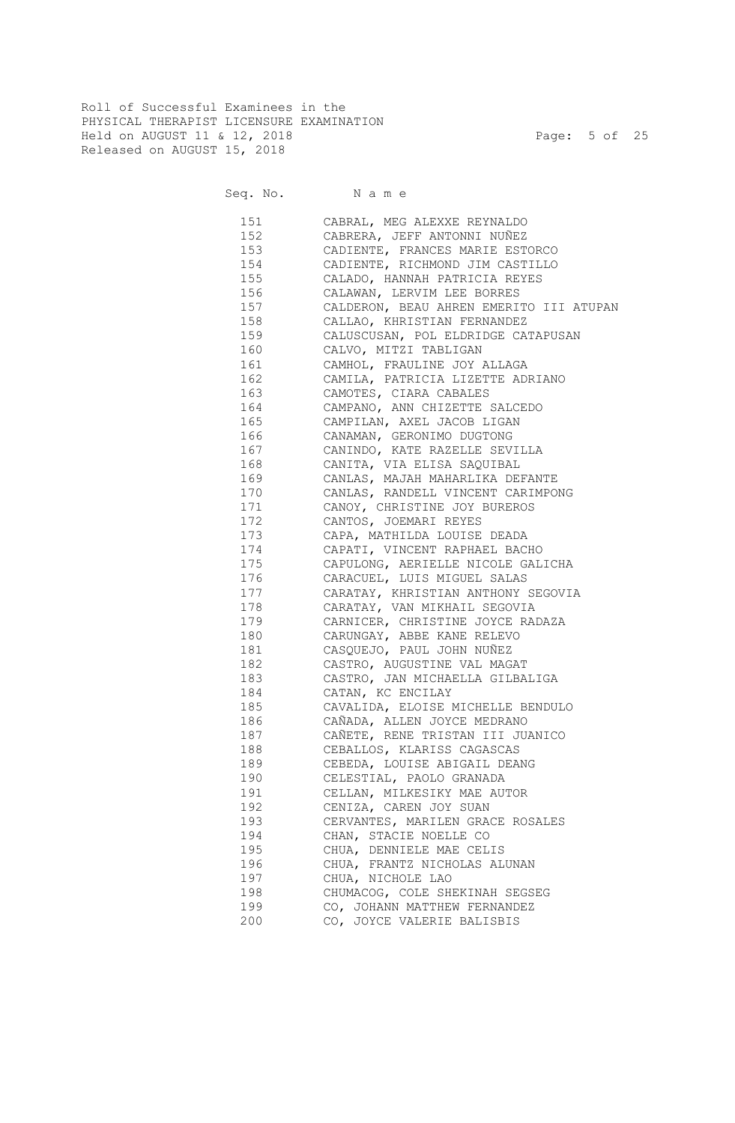Roll of Successful Examinees in the PHYSICAL THERAPIST LICENSURE EXAMINATION Held on AUGUST 11 & 12, 2018 Page: 5 of 25 Released on AUGUST 15, 2018

Seq. No. Name

 151 CABRAL, MEG ALEXXE REYNALDO 152 CABRERA, JEFF ANTONNI NUÑEZ 153 CADIENTE, FRANCES MARIE ESTORCO 154 CADIENTE, RICHMOND JIM CASTILLO 155 CALADO, HANNAH PATRICIA REYES 156 CALAWAN, LERVIM LEE BORRES 157 CALDERON, BEAU AHREN EMERITO III ATUPAN 158 CALLAO, KHRISTIAN FERNANDEZ 159 CALUSCUSAN, POL ELDRIDGE CATAPUSAN 160 CALVO, MITZI TABLIGAN 161 CAMHOL, FRAULINE JOY ALLAGA 162 CAMILA, PATRICIA LIZETTE ADRIANO 163 CAMOTES, CIARA CABALES 164 CAMPANO, ANN CHIZETTE SALCEDO 165 CAMPILAN, AXEL JACOB LIGAN 166 CANAMAN, GERONIMO DUGTONG 167 CANINDO, KATE RAZELLE SEVILLA 168 CANITA, VIA ELISA SAQUIBAL 169 CANLAS, MAJAH MAHARLIKA DEFANTE 170 CANLAS, RANDELL VINCENT CARIMPONG 171 CANOY, CHRISTINE JOY BUREROS 172 CANTOS, JOEMARI REYES 173 CAPA, MATHILDA LOUISE DEADA 174 CAPATI, VINCENT RAPHAEL BACHO 175 CAPULONG, AERIELLE NICOLE GALICHA 176 CARACUEL, LUIS MIGUEL SALAS 177 CARATAY, KHRISTIAN ANTHONY SEGOVIA 178 CARATAY, VAN MIKHAIL SEGOVIA 179 CARNICER, CHRISTINE JOYCE RADAZA 180 CARUNGAY, ABBE KANE RELEVO 181 CASQUEJO, PAUL JOHN NUÑEZ 182 CASTRO, AUGUSTINE VAL MAGAT 183 CASTRO, JAN MICHAELLA GILBALIGA 184 CATAN, KC ENCILAY 185 CAVALIDA, ELOISE MICHELLE BENDULO 186 CAÑADA, ALLEN JOYCE MEDRANO 187 CAÑETE, RENE TRISTAN III JUANICO 188 CEBALLOS, KLARISS CAGASCAS 189 CEBEDA, LOUISE ABIGAIL DEANG 190 CELESTIAL, PAOLO GRANADA 191 CELLAN, MILKESIKY MAE AUTOR 192 CENIZA, CAREN JOY SUAN 193 CERVANTES, MARILEN GRACE ROSALES 194 CHAN, STACIE NOELLE CO 195 CHUA, DENNIELE MAE CELIS 196 CHUA, FRANTZ NICHOLAS ALUNAN 197 CHUA, NICHOLE LAO 198 CHUMACOG, COLE SHEKINAH SEGSEG 199 CO, JOHANN MATTHEW FERNANDEZ 200 CO, JOYCE VALERIE BALISBIS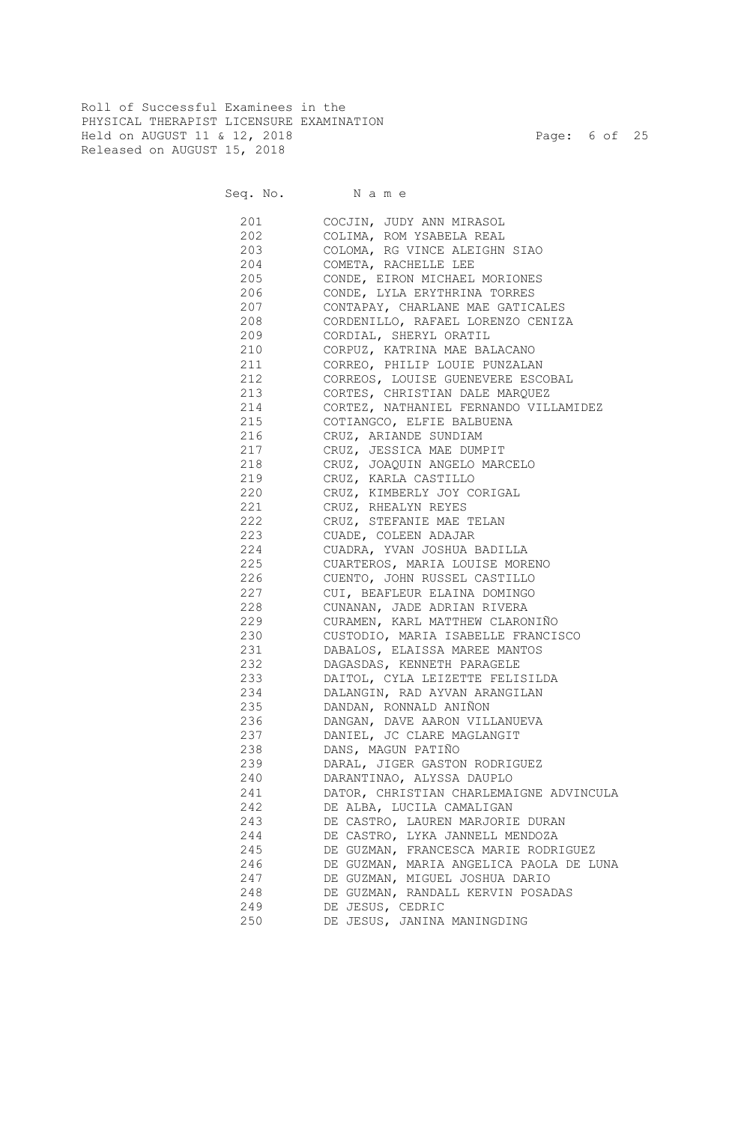Roll of Successful Examinees in the PHYSICAL THERAPIST LICENSURE EXAMINATION Held on AUGUST 11 & 12, 2018 Page: 6 of 25 Released on AUGUST 15, 2018

Seq. No. Name

 201 COCJIN, JUDY ANN MIRASOL 202 COLIMA, ROM YSABELA REAL 203 COLOMA, RG VINCE ALEIGHN SIAO 204 COMETA, RACHELLE LEE 205 CONDE, EIRON MICHAEL MORIONES 206 CONDE, LYLA ERYTHRINA TORRES 207 CONTAPAY, CHARLANE MAE GATICALES 208 CORDENILLO, RAFAEL LORENZO CENIZA 209 CORDIAL, SHERYL ORATIL 210 CORPUZ, KATRINA MAE BALACANO 211 CORREO, PHILIP LOUIE PUNZALAN 212 CORREOS, LOUISE GUENEVERE ESCOBAL 213 CORTES, CHRISTIAN DALE MARQUEZ 214 CORTEZ, NATHANIEL FERNANDO VILLAMIDEZ 215 COTIANGCO, ELFIE BALBUENA 216 CRUZ, ARIANDE SUNDIAM 217 CRUZ, JESSICA MAE DUMPIT 218 CRUZ, JOAQUIN ANGELO MARCELO 219 CRUZ, KARLA CASTILLO 220 CRUZ, KIMBERLY JOY CORIGAL 221 CRUZ, RHEALYN REYES 222 CRUZ, STEFANIE MAE TELAN 223 CUADE, COLEEN ADAJAR 224 CUADRA, YVAN JOSHUA BADILLA 225 CUARTEROS, MARIA LOUISE MORENO 226 CUENTO, JOHN RUSSEL CASTILLO 227 CUI, BEAFLEUR ELAINA DOMINGO 228 CUNANAN, JADE ADRIAN RIVERA 229 CURAMEN, KARL MATTHEW CLARONIÑO 230 CUSTODIO, MARIA ISABELLE FRANCISCO 231 DABALOS, ELAISSA MAREE MANTOS 232 DAGASDAS, KENNETH PARAGELE 233 DAITOL, CYLA LEIZETTE FELISILDA 234 DALANGIN, RAD AYVAN ARANGILAN 235 DANDAN, RONNALD ANIÑON 236 DANGAN, DAVE AARON VILLANUEVA 237 DANIEL, JC CLARE MAGLANGIT 238 DANS, MAGUN PATIÑO 239 DARAL, JIGER GASTON RODRIGUEZ 240 DARANTINAO, ALYSSA DAUPLO 241 DATOR, CHRISTIAN CHARLEMAIGNE ADVINCULA 242 DE ALBA, LUCILA CAMALIGAN 243 DE CASTRO, LAUREN MARJORIE DURAN 244 DE CASTRO, LYKA JANNELL MENDOZA 245 DE GUZMAN, FRANCESCA MARIE RODRIGUEZ 246 DE GUZMAN, MARIA ANGELICA PAOLA DE LUNA 247 DE GUZMAN, MIGUEL JOSHUA DARIO 248 DE GUZMAN, RANDALL KERVIN POSADAS 249 DE JESUS, CEDRIC 250 DE JESUS, JANINA MANINGDING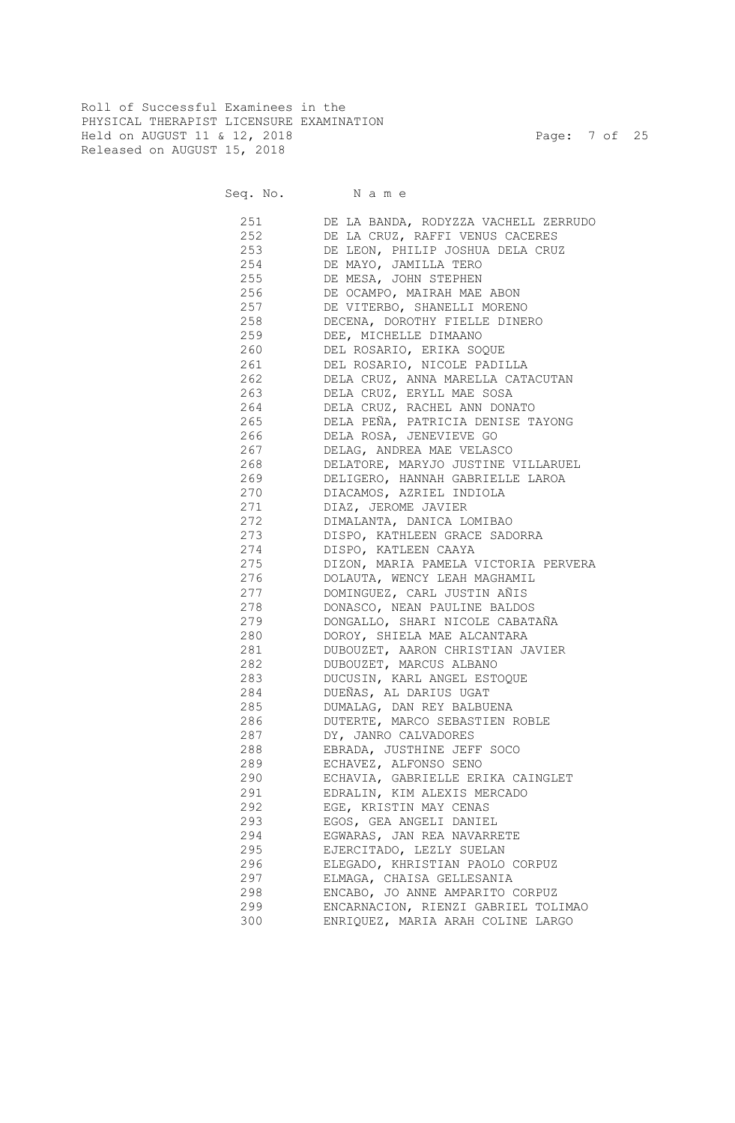Roll of Successful Examinees in the PHYSICAL THERAPIST LICENSURE EXAMINATION Held on AUGUST 11 & 12, 2018 Page: 7 of 25 Released on AUGUST 15, 2018

| 251 | DE LA BANDA, RODYZZA VACHELL ZERRUDO |
|-----|--------------------------------------|
| 252 | DE LA CRUZ, RAFFI VENUS CACERES      |
| 253 | DE LEON, PHILIP JOSHUA DELA CRUZ     |
| 254 | DE MAYO, JAMILLA TERO                |
| 255 | DE MESA, JOHN STEPHEN                |
| 256 | DE OCAMPO, MAIRAH MAE ABON           |
| 257 | DE VITERBO, SHANELLI MORENO          |
| 258 | DECENA, DOROTHY FIELLE DINERO        |
| 259 | DEE, MICHELLE DIMAANO                |
| 260 | DEL ROSARIO, ERIKA SOQUE             |
| 261 | DEL ROSARIO, NICOLE PADILLA          |
| 262 | DELA CRUZ, ANNA MARELLA CATACUTAN    |
| 263 | DELA CRUZ, ERYLL MAE SOSA            |
| 264 | DELA CRUZ, RACHEL ANN DONATO         |
| 265 | DELA PEÑA, PATRICIA DENISE TAYONG    |
| 266 | DELA ROSA, JENEVIEVE GO              |
| 267 | DELAG, ANDREA MAE VELASCO            |
| 268 | DELATORE, MARYJO JUSTINE VILLARUEL   |
| 269 | DELIGERO, HANNAH GABRIELLE LAROA     |
| 270 | DIACAMOS, AZRIEL INDIOLA             |
| 271 | DIAZ, JEROME JAVIER                  |
| 272 | DIMALANTA, DANICA LOMIBAO            |
| 273 | DISPO, KATHLEEN GRACE SADORRA        |
| 274 | DISPO, KATLEEN CAAYA                 |
| 275 | DIZON, MARIA PAMELA VICTORIA PERVERA |
| 276 | DOLAUTA, WENCY LEAH MAGHAMIL         |
| 277 | DOMINGUEZ, CARL JUSTIN AÑIS          |
| 278 | DONASCO, NEAN PAULINE BALDOS         |
| 279 | DONGALLO, SHARI NICOLE CABATAÑA      |
| 280 | DOROY, SHIELA MAE ALCANTARA          |
| 281 | DUBOUZET, AARON CHRISTIAN JAVIER     |
| 282 | DUBOUZET, MARCUS ALBANO              |
| 283 | DUCUSIN, KARL ANGEL ESTOQUE          |
| 284 | DUEÑAS, AL DARIUS UGAT               |
| 285 | DUMALAG, DAN REY BALBUENA            |
| 286 | DUTERTE, MARCO SEBASTIEN ROBLE       |
| 287 | DY, JANRO CALVADORES                 |
| 288 | EBRADA, JUSTHINE JEFF SOCO           |
| 289 | ECHAVEZ, ALFONSO SENO                |
| 290 | ECHAVIA, GABRIELLE ERIKA CAINGLET    |
| 291 |                                      |
|     | EDRALIN, KIM ALEXIS MERCADO          |
| 292 | EGE, KRISTIN MAY CENAS               |
| 293 | EGOS, GEA ANGELI DANIEL              |
| 294 | EGWARAS, JAN REA NAVARRETE           |
| 295 | EJERCITADO, LEZLY SUELAN             |
| 296 | ELEGADO, KHRISTIAN PAOLO CORPUZ      |
| 297 | ELMAGA, CHAISA GELLESANIA            |
| 298 | ENCABO, JO ANNE AMPARITO CORPUZ      |
| 299 | ENCARNACION, RIENZI GABRIEL TOLIMAO  |
| 300 | ENRIQUEZ, MARIA ARAH COLINE LARGO    |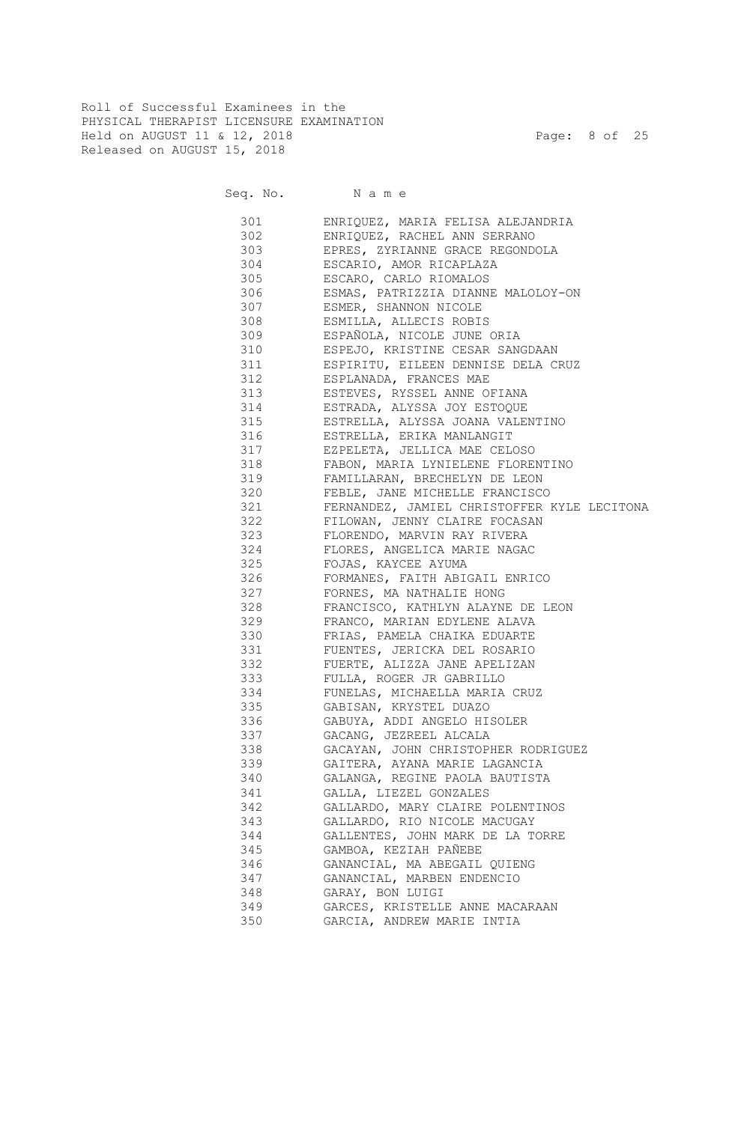Roll of Successful Examinees in the PHYSICAL THERAPIST LICENSURE EXAMINATION Held on AUGUST 11 & 12, 2018 Page: 8 of 25 Released on AUGUST 15, 2018

| 301 | ENRIQUEZ, MARIA FELISA ALEJANDRIA           |
|-----|---------------------------------------------|
| 302 | ENRIQUEZ, RACHEL ANN SERRANO                |
| 303 | EPRES, ZYRIANNE GRACE REGONDOLA             |
| 304 | ESCARIO, AMOR RICAPLAZA                     |
| 305 | ESCARO, CARLO RIOMALOS                      |
| 306 | ESMAS, PATRIZZIA DIANNE MALOLOY-ON          |
| 307 | ESMER, SHANNON NICOLE                       |
| 308 | ESMILLA, ALLECIS ROBIS                      |
| 309 | ESPAÑOLA, NICOLE JUNE ORIA                  |
|     | 310<br>ESPEJO, KRISTINE CESAR SANGDAAN      |
|     | 311 ESPIRITU, EILEEN DENNISE DELA CRUZ      |
|     | 312 ESPLANADA, FRANCES MAE                  |
|     | 313 ESTEVES, RYSSEL ANNE OFIANA             |
|     | 314 ESTRADA, ALYSSA JOY ESTOQUE             |
|     | 315 ESTRELLA, ALYSSA JOANA VALENTINO        |
|     | 316<br>ESTRELLA, ERIKA MANLANGIT            |
| 317 | EZPELETA, JELLICA MAE CELOSO                |
| 318 | FABON, MARIA LYNIELENE FLORENTINO           |
| 319 | FAMILLARAN, BRECHELYN DE LEON               |
| 320 | FEBLE, JANE MICHELLE FRANCISCO              |
| 321 | FERNANDEZ, JAMIEL CHRISTOFFER KYLE LECITONA |
| 322 | FILOWAN, JENNY CLAIRE FOCASAN               |
| 323 | FLORENDO, MARVIN RAY RIVERA                 |
| 324 | FLORES, ANGELICA MARIE NAGAC                |
| 325 | FOJAS, KAYCEE AYUMA                         |
| 326 | FORMANES, FAITH ABIGAIL ENRICO              |
| 327 | FORNES, MA NATHALIE HONG                    |
| 328 | FRANCISCO, KATHLYN ALAYNE DE LEON           |
| 329 | FRANCO, MARIAN EDYLENE ALAVA                |
| 330 | FRIAS, PAMELA CHAIKA EDUARTE                |
| 331 | FUENTES, JERICKA DEL ROSARIO                |
| 332 | FUERTE, ALIZZA JANE APELIZAN                |
| 333 | FULLA, ROGER JR GABRILLO                    |
| 334 | FUNELAS, MICHAELLA MARIA CRUZ               |
| 335 | GABISAN, KRYSTEL DUAZO                      |
| 336 | GABUYA, ADDI ANGELO HISOLER                 |
| 337 | GACANG, JEZREEL ALCALA                      |
| 338 | GACAYAN, JOHN CHRISTOPHER RODRIGUEZ         |
| 339 | GAITERA, AYANA MARIE LAGANCIA               |
| 340 | GALANGA, REGINE PAOLA BAUTISTA              |
| 341 | GALLA, LIEZEL GONZALES                      |
| 342 | GALLARDO, MARY CLAIRE POLENTINOS            |
| 343 | GALLARDO, RIO NICOLE MACUGAY                |
| 344 | GALLENTES, JOHN MARK DE LA TORRE            |
| 345 | GAMBOA, KEZIAH PAÑEBE                       |
| 346 | GANANCIAL, MA ABEGAIL QUIENG                |
| 347 | GANANCIAL, MARBEN ENDENCIO                  |
| 348 | GARAY, BON LUIGI                            |
| 349 | GARCES, KRISTELLE ANNE MACARAAN             |
| 350 | GARCIA, ANDREW MARIE INTIA                  |
|     |                                             |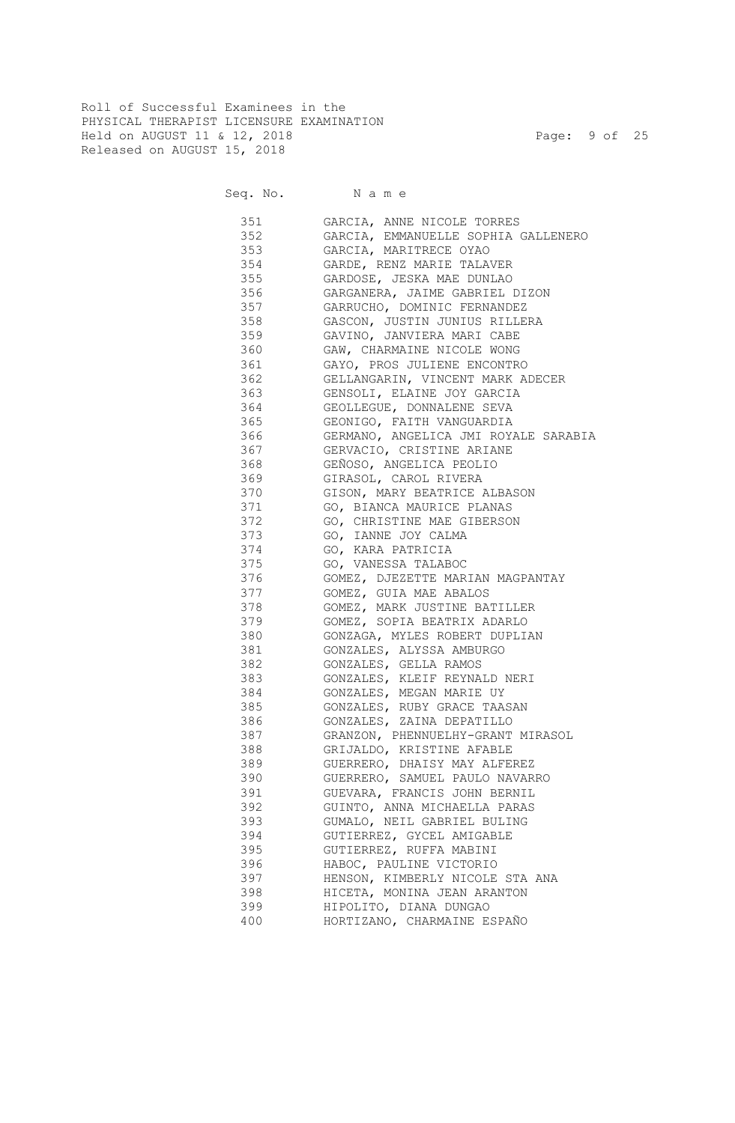Roll of Successful Examinees in the PHYSICAL THERAPIST LICENSURE EXAMINATION Held on AUGUST 11 & 12, 2018 Page: 9 of 25 Released on AUGUST 15, 2018

| 351 | GARCIA, ANNE NICOLE TORRES           |
|-----|--------------------------------------|
| 352 | GARCIA, EMMANUELLE SOPHIA GALLENERO  |
| 353 | GARCIA, MARITRECE OYAO               |
| 354 | GARDE, RENZ MARIE TALAVER            |
| 355 | GARDOSE, JESKA MAE DUNLAO            |
| 356 | GARGANERA, JAIME GABRIEL DIZON       |
| 357 | GARRUCHO, DOMINIC FERNANDEZ          |
| 358 | GASCON, JUSTIN JUNIUS RILLERA        |
| 359 | GAVINO, JANVIERA MARI CABE           |
| 360 | GAW, CHARMAINE NICOLE WONG           |
| 361 | GAYO, PROS JULIENE ENCONTRO          |
| 362 | GELLANGARIN, VINCENT MARK ADECER     |
| 363 | GENSOLI, ELAINE JOY GARCIA           |
| 364 | GEOLLEGUE, DONNALENE SEVA            |
| 365 | GEONIGO, FAITH VANGUARDIA            |
| 366 | GERMANO, ANGELICA JMI ROYALE SARABIA |
| 367 | GERVACIO, CRISTINE ARIANE            |
| 368 | GEÑOSO, ANGELICA PEOLIO              |
| 369 | GIRASOL, CAROL RIVERA                |
| 370 | GISON, MARY BEATRICE ALBASON         |
| 371 | GO, BIANCA MAURICE PLANAS            |
| 372 | GO, CHRISTINE MAE GIBERSON           |
| 373 | GO, IANNE JOY CALMA                  |
| 374 | GO, KARA PATRICIA                    |
| 375 | GO, VANESSA TALABOC                  |
| 376 | GOMEZ, DJEZETTE MARIAN MAGPANTAY     |
| 377 | GOMEZ, GUIA MAE ABALOS               |
| 378 | GOMEZ, MARK JUSTINE BATILLER         |
| 379 | GOMEZ, SOPIA BEATRIX ADARLO          |
| 380 | GONZAGA, MYLES ROBERT DUPLIAN        |
| 381 | GONZALES, ALYSSA AMBURGO             |
| 382 | GONZALES, GELLA RAMOS                |
| 383 | GONZALES, KLEIF REYNALD NERI         |
| 384 | GONZALES, MEGAN MARIE UY             |
| 385 | GONZALES, RUBY GRACE TAASAN          |
| 386 | GONZALES, ZAINA DEPATILLO            |
| 387 | GRANZON, PHENNUELHY-GRANT MIRASOL    |
| 388 | GRIJALDO, KRISTINE AFABLE            |
| 389 | GUERRERO, DHAISY MAY ALFEREZ         |
| 390 | GUERRERO, SAMUEL PAULO NAVARRO       |
| 391 | GUEVARA, FRANCIS JOHN BERNIL         |
| 392 | GUINTO, ANNA MICHAELLA PARAS         |
| 393 | GUMALO, NEIL GABRIEL BULING          |
| 394 | GUTIERREZ, GYCEL AMIGABLE            |
| 395 | GUTIERREZ, RUFFA MABINI              |
| 396 | HABOC, PAULINE VICTORIO              |
| 397 | HENSON, KIMBERLY NICOLE STA ANA      |
| 398 | HICETA, MONINA JEAN ARANTON          |
| 399 | HIPOLITO, DIANA DUNGAO               |
| 400 | HORTIZANO, CHARMAINE ESPAÑO          |
|     |                                      |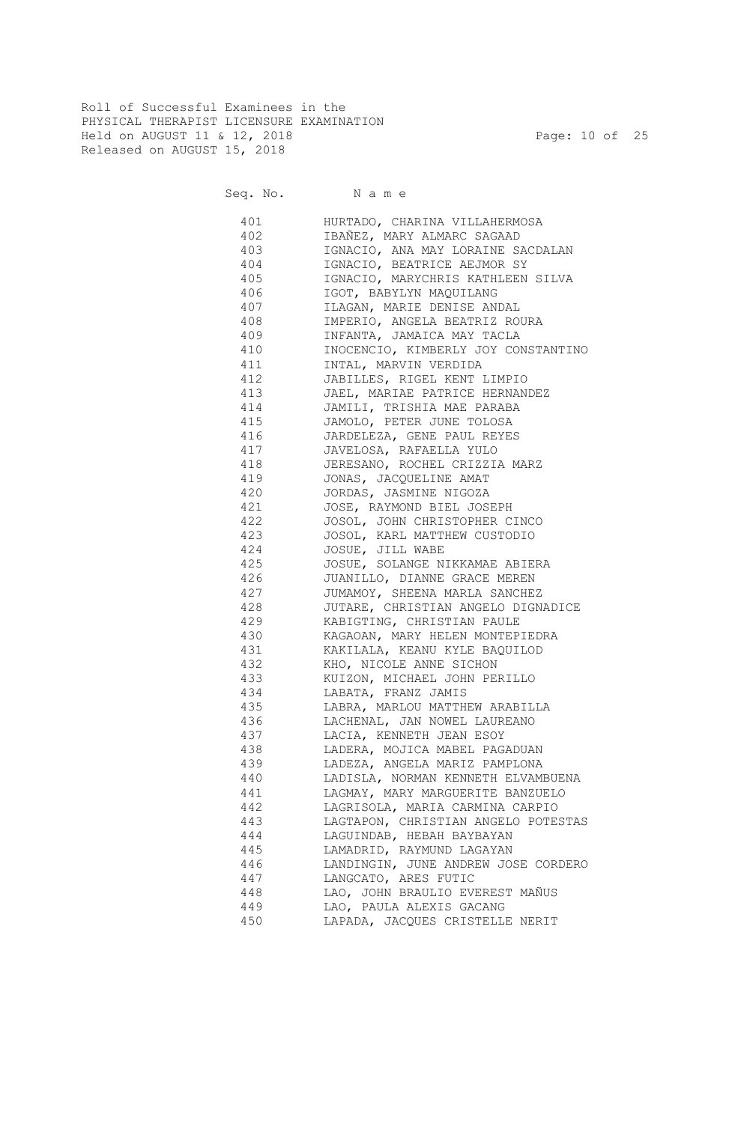Roll of Successful Examinees in the PHYSICAL THERAPIST LICENSURE EXAMINATION Held on AUGUST 11 & 12, 2018 Page: 10 of 25 Released on AUGUST 15, 2018

| 401 | HURTADO, CHARINA VILLAHERMOSA       |
|-----|-------------------------------------|
| 402 | IBAÑEZ, MARY ALMARC SAGAAD          |
| 403 | IGNACIO, ANA MAY LORAINE SACDALAN   |
| 404 | IGNACIO, BEATRICE AEJMOR SY         |
| 405 | IGNACIO, MARYCHRIS KATHLEEN SILVA   |
| 406 | IGOT, BABYLYN MAQUILANG             |
| 407 | ILAGAN, MARIE DENISE ANDAL          |
| 408 | IMPERIO, ANGELA BEATRIZ ROURA       |
| 409 | INFANTA, JAMAICA MAY TACLA          |
| 410 | INOCENCIO, KIMBERLY JOY CONSTANTINO |
| 411 | INTAL, MARVIN VERDIDA               |
| 412 | JABILLES, RIGEL KENT LIMPIO         |
| 413 | JAEL, MARIAE PATRICE HERNANDEZ      |
| 414 | JAMILI, TRISHIA MAE PARABA          |
| 415 | JAMOLO, PETER JUNE TOLOSA           |
| 416 | JARDELEZA, GENE PAUL REYES          |
| 417 | JAVELOSA, RAFAELLA YULO             |
| 418 | JERESANO, ROCHEL CRIZZIA MARZ       |
| 419 | JONAS, JACQUELINE AMAT              |
| 420 | JORDAS, JASMINE NIGOZA              |
| 421 | JOSE, RAYMOND BIEL JOSEPH           |
| 422 | JOSOL, JOHN CHRISTOPHER CINCO       |
| 423 | JOSOL, KARL MATTHEW CUSTODIO        |
| 424 | JOSUE, JILL WABE                    |
| 425 | JOSUE, SOLANGE NIKKAMAE ABIERA      |
| 426 | JUANILLO, DIANNE GRACE MEREN        |
| 427 | JUMAMOY, SHEENA MARLA SANCHEZ       |
| 428 | JUTARE, CHRISTIAN ANGELO DIGNADICE  |
| 429 | KABIGTING, CHRISTIAN PAULE          |
| 430 | KAGAOAN, MARY HELEN MONTEPIEDRA     |
| 431 | KAKILALA, KEANU KYLE BAQUILOD       |
| 432 | KHO, NICOLE ANNE SICHON             |
| 433 | KUIZON, MICHAEL JOHN PERILLO        |
| 434 | LABATA, FRANZ JAMIS                 |
| 435 | LABRA, MARLOU MATTHEW ARABILLA      |
| 436 | LACHENAL, JAN NOWEL LAUREANO        |
| 437 | LACIA, KENNETH JEAN ESOY            |
| 438 | LADERA, MOJICA MABEL PAGADUAN       |
| 439 | LADEZA, ANGELA MARIZ PAMPLONA       |
| 440 | LADISLA, NORMAN KENNETH ELVAMBUENA  |
| 441 | LAGMAY, MARY MARGUERITE BANZUELO    |
| 442 | LAGRISOLA, MARIA CARMINA CARPIO     |
| 443 | LAGTAPON, CHRISTIAN ANGELO POTESTAS |
| 444 | LAGUINDAB, HEBAH BAYBAYAN           |
| 445 | LAMADRID, RAYMUND LAGAYAN           |
| 446 | LANDINGIN, JUNE ANDREW JOSE CORDERO |
| 447 | LANGCATO, ARES FUTIC                |
| 448 | LAO, JOHN BRAULIO EVEREST MAÑUS     |
| 449 | LAO, PAULA ALEXIS GACANG            |
| 450 | LAPADA, JACQUES CRISTELLE NERIT     |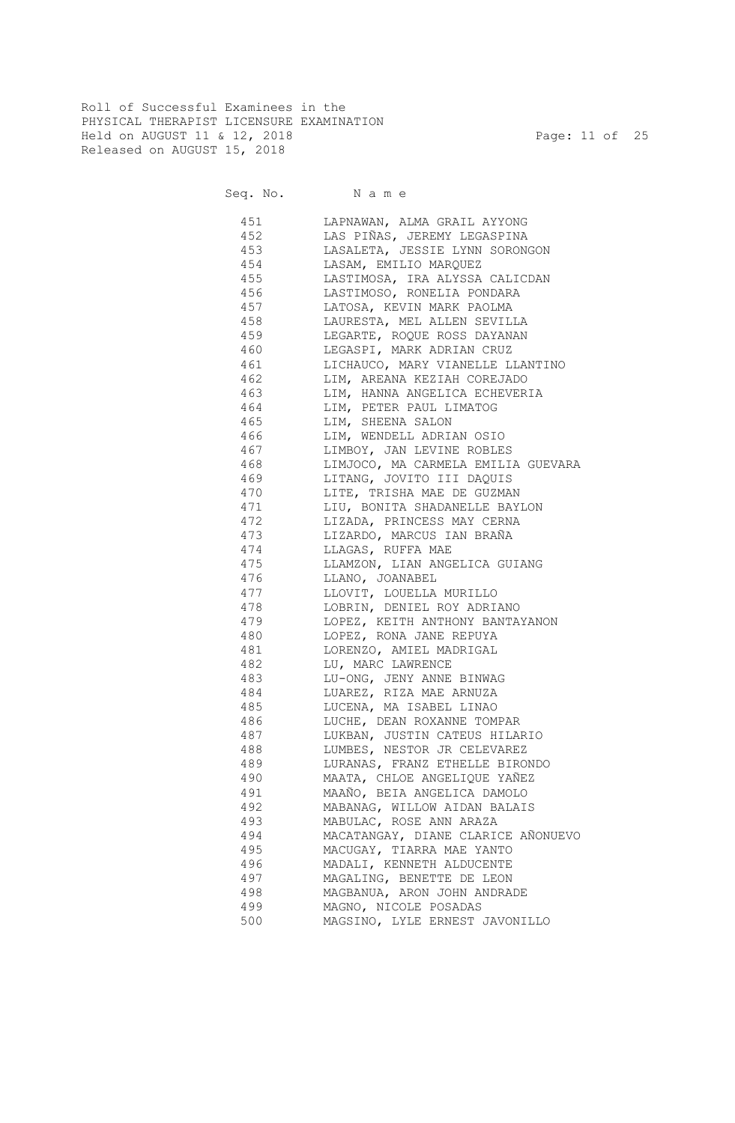Roll of Successful Examinees in the PHYSICAL THERAPIST LICENSURE EXAMINATION Held on AUGUST 11 & 12, 2018 Page: 11 of 25 Released on AUGUST 15, 2018

Seq. No. Name

 451 LAPNAWAN, ALMA GRAIL AYYONG 452 LAS PIÑAS, JEREMY LEGASPINA 453 LASALETA, JESSIE LYNN SORONGON 454 LASAM, EMILIO MARQUEZ 455 LASTIMOSA, IRA ALYSSA CALICDAN 456 LASTIMOSO, RONELIA PONDARA 457 LATOSA, KEVIN MARK PAOLMA 458 LAURESTA, MEL ALLEN SEVILLA 459 LEGARTE, ROQUE ROSS DAYANAN 460 LEGASPI, MARK ADRIAN CRUZ 461 LICHAUCO, MARY VIANELLE LLANTINO 462 LIM, AREANA KEZIAH COREJADO 463 LIM, HANNA ANGELICA ECHEVERIA 464 LIM, PETER PAUL LIMATOG 465 LIM, SHEENA SALON 466 LIM, WENDELL ADRIAN OSIO 467 LIMBOY, JAN LEVINE ROBLES 468 LIMJOCO, MA CARMELA EMILIA GUEVARA 469 LITANG, JOVITO III DAQUIS 470 LITE, TRISHA MAE DE GUZMAN 471 LIU, BONITA SHADANELLE BAYLON 472 LIZADA, PRINCESS MAY CERNA 473 LIZARDO, MARCUS IAN BRAÑA 474 LLAGAS, RUFFA MAE 475 LLAMZON, LIAN ANGELICA GUIANG 476 LLANO, JOANABEL 477 LLOVIT, LOUELLA MURILLO 478 LOBRIN, DENIEL ROY ADRIANO 479 LOPEZ, KEITH ANTHONY BANTAYANON 480 LOPEZ, RONA JANE REPUYA 481 LORENZO, AMIEL MADRIGAL 482 LU, MARC LAWRENCE 483 LU-ONG, JENY ANNE BINWAG 484 LUAREZ, RIZA MAE ARNUZA 485 LUCENA, MA ISABEL LINAO 486 LUCHE, DEAN ROXANNE TOMPAR 487 LUKBAN, JUSTIN CATEUS HILARIO 488 LUMBES, NESTOR JR CELEVAREZ 489 LURANAS, FRANZ ETHELLE BIRONDO 490 MAATA, CHLOE ANGELIQUE YAÑEZ 491 MAAÑO, BEIA ANGELICA DAMOLO 492 MABANAG, WILLOW AIDAN BALAIS 493 MABULAC, ROSE ANN ARAZA 494 MACATANGAY, DIANE CLARICE AÑONUEVO 495 MACUGAY, TIARRA MAE YANTO 496 MADALI, KENNETH ALDUCENTE 497 MAGALING, BENETTE DE LEON 498 MAGBANUA, ARON JOHN ANDRADE 499 MAGNO, NICOLE POSADAS 500 MAGSINO, LYLE ERNEST JAVONILLO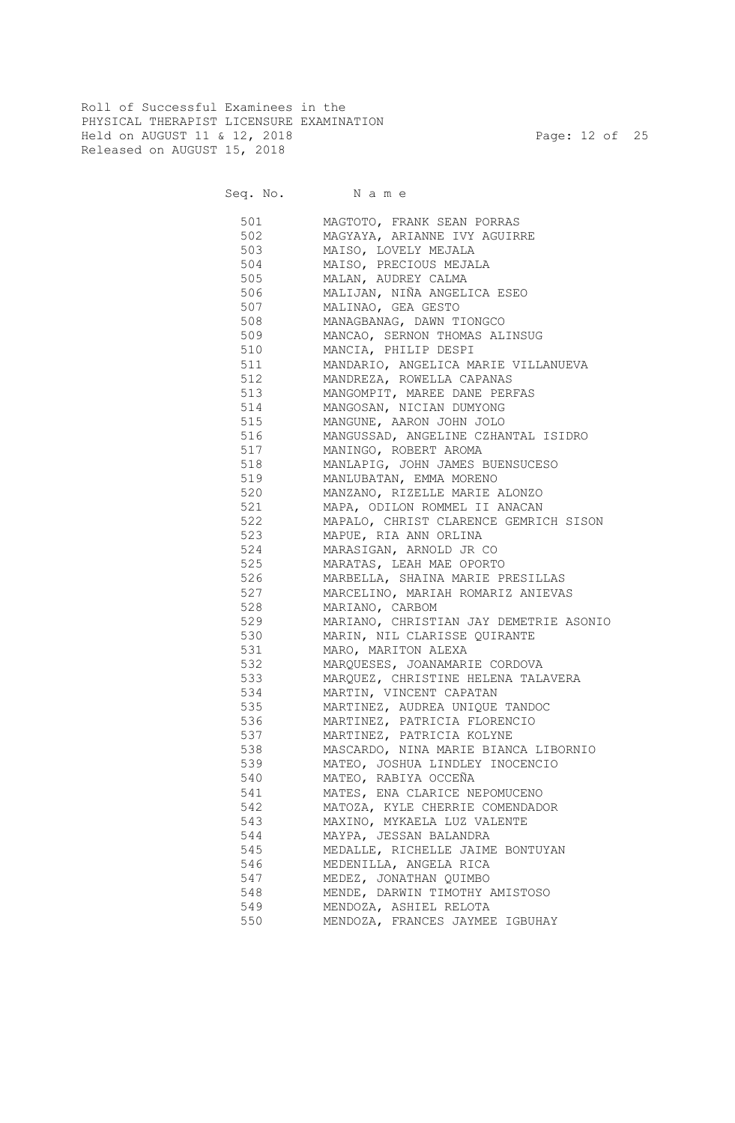Roll of Successful Examinees in the PHYSICAL THERAPIST LICENSURE EXAMINATION Held on AUGUST 11 & 12, 2018 Page: 12 of 25 Released on AUGUST 15, 2018

| 501            | MAGTOTO, FRANK SEAN PORRAS                 |
|----------------|--------------------------------------------|
| 502            | MAGYAYA, ARIANNE IVY AGUIRRE               |
| 503            | MAISO, LOVELY MEJALA                       |
| 504            | MAISO, PRECIOUS MEJALA                     |
| 505            | MALAN, AUDREY CALMA                        |
| 506            | MALIJAN, NIÑA ANGELICA ESEO                |
| 507            | MALINAO, GEA GESTO                         |
| 508            | MANAGBANAG, DAWN TIONGCO                   |
|                | 509 MANCAO, SERNON THOMAS ALINSUG          |
|                | 510 MANCIA, PHILIP DESPI                   |
|                | 511 MANDARIO, ANGELICA MARIE VILLANUEVA    |
|                | 512 MANDREZA, ROWELLA CAPANAS              |
|                | 513 MANGOMPIT, MAREE DANE PERFAS           |
|                | 514 MANGOSAN, NICIAN DUMYONG               |
|                | 515 MANGUNE, AARON JOHN JOLO               |
|                |                                            |
|                | 516 MANGUSSAD, ANGELINE CZHANTAL ISIDRO    |
|                | 517 MANINGO, ROBERT AROMA                  |
|                | 518 MANLAPIG, JOHN JAMES BUENSUCESO        |
|                | 519 MANLUBATAN, EMMA MORENO                |
|                | 520 MANZANO, RIZELLE MARIE ALONZO          |
|                | 521 MAPA, ODILON ROMMEL II ANACAN          |
|                | 522 MAPALO, CHRIST CLARENCE GEMRICH SISON  |
|                | 523 MAPUE, RIA ANN ORLINA                  |
|                | 524 MARASIGAN, ARNOLD JR CO                |
|                | 525 MARATAS, LEAH MAE OPORTO               |
|                | 526 MARBELLA, SHAINA MARIE PRESILLAS       |
| 527 and $\sim$ | MARCELINO, MARIAH ROMARIZ ANIEVAS          |
|                | 528 MARIANO, CARBOM                        |
|                | 529 MARIANO, CHRISTIAN JAY DEMETRIE ASONIO |
|                | 530 MARIN, NIL CLARISSE QUIRANTE           |
|                | 531 MARO, MARITON ALEXA                    |
|                | 532 MARQUESES, JOANAMARIE CORDOVA          |
|                | 533 MARQUEZ, CHRISTINE HELENA TALAVERA     |
|                | 534 MARTIN, VINCENT CAPATAN                |
|                | 535 MARTINEZ, AUDREA UNIQUE TANDOC         |
| 536            | MARTINEZ, PATRICIA FLORENCIO               |
| 537            | MARTINEZ, PATRICIA KOLYNE                  |
| 538            | MASCARDO, NINA MARIE BIANCA LIBORNIO       |
| 539            | MATEO, JOSHUA LINDLEY INOCENCIO            |
| 540            | MATEO, RABIYA OCCEÑA                       |
| 541            | MATES, ENA CLARICE NEPOMUCENO              |
| 542            | MATOZA, KYLE CHERRIE COMENDADOR            |
| 543            | MAXINO, MYKAELA LUZ VALENTE                |
| 544            | MAYPA, JESSAN BALANDRA                     |
| 545            | MEDALLE, RICHELLE JAIME BONTUYAN           |
| 546            | MEDENILLA, ANGELA RICA                     |
| 547            | MEDEZ, JONATHAN OUIMBO                     |
| 548            | MENDE, DARWIN TIMOTHY AMISTOSO             |
| 549            | MENDOZA, ASHIEL RELOTA                     |
| 550            | MENDOZA, FRANCES JAYMEE IGBUHAY            |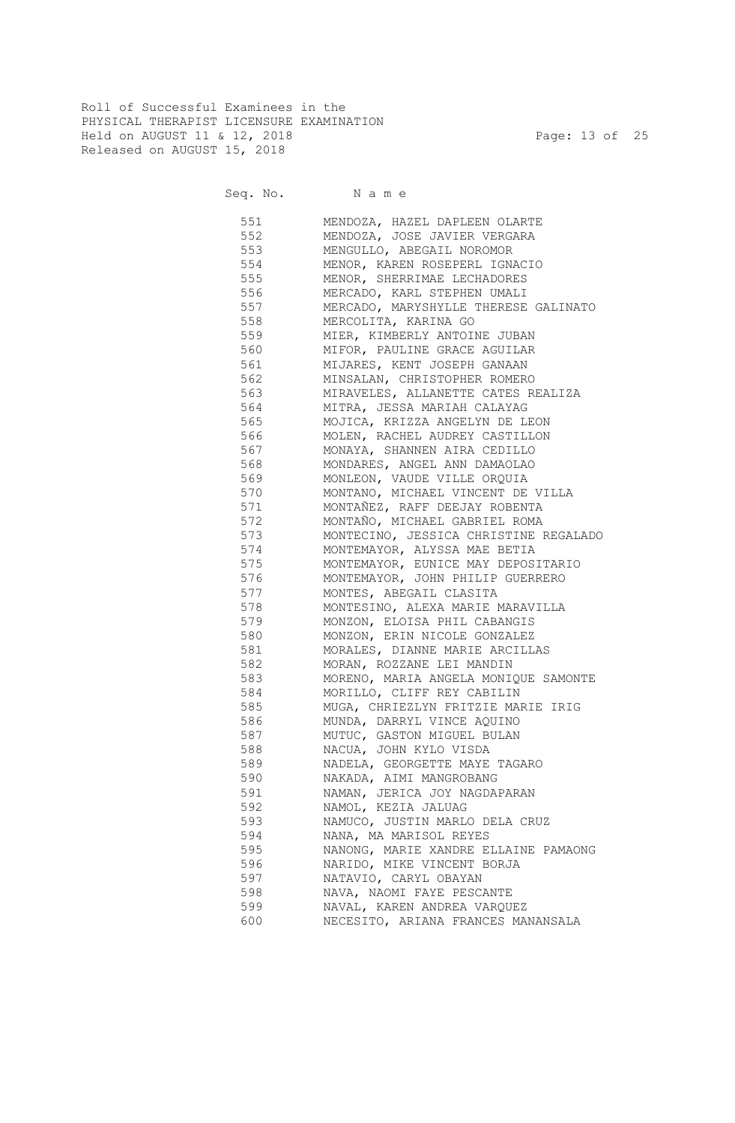Roll of Successful Examinees in the PHYSICAL THERAPIST LICENSURE EXAMINATION Held on AUGUST 11 & 12, 2018 Page: 13 of 25 Released on AUGUST 15, 2018

Seq. No. Name

 551 MENDOZA, HAZEL DAPLEEN OLARTE 552 MENDOZA, JOSE JAVIER VERGARA 553 MENGULLO, ABEGAIL NOROMOR 554 MENOR, KAREN ROSEPERL IGNACIO 555 MENOR, SHERRIMAE LECHADORES 556 MERCADO, KARL STEPHEN UMALI 557 MERCADO, MARYSHYLLE THERESE GALINATO 558 MERCOLITA, KARINA GO 559 MIER, KIMBERLY ANTOINE JUBAN 560 MIFOR, PAULINE GRACE AGUILAR 561 MIJARES, KENT JOSEPH GANAAN 562 MINSALAN, CHRISTOPHER ROMERO 563 MIRAVELES, ALLANETTE CATES REALIZA 564 MITRA, JESSA MARIAH CALAYAG 565 MOJICA, KRIZZA ANGELYN DE LEON 566 MOLEN, RACHEL AUDREY CASTILLON 567 MONAYA, SHANNEN AIRA CEDILLO 568 MONDARES, ANGEL ANN DAMAOLAO 569 MONLEON, VAUDE VILLE ORQUIA 570 MONTANO, MICHAEL VINCENT DE VILLA 571 MONTAÑEZ, RAFF DEEJAY ROBENTA 572 MONTAÑO, MICHAEL GABRIEL ROMA 573 MONTECINO, JESSICA CHRISTINE REGALADO 574 MONTEMAYOR, ALYSSA MAE BETIA 575 MONTEMAYOR, EUNICE MAY DEPOSITARIO 576 MONTEMAYOR, JOHN PHILIP GUERRERO 577 MONTES, ABEGAIL CLASITA 578 MONTESINO, ALEXA MARIE MARAVILLA 579 MONZON, ELOISA PHIL CABANGIS 580 MONZON, ERIN NICOLE GONZALEZ 581 MORALES, DIANNE MARIE ARCILLAS 582 MORAN, ROZZANE LEI MANDIN 583 MORENO, MARIA ANGELA MONIQUE SAMONTE 584 MORILLO, CLIFF REY CABILIN 585 MUGA, CHRIEZLYN FRITZIE MARIE IRIG 586 MUNDA, DARRYL VINCE AQUINO 587 MUTUC, GASTON MIGUEL BULAN 588 NACUA, JOHN KYLO VISDA 589 NADELA, GEORGETTE MAYE TAGARO 590 NAKADA, AIMI MANGROBANG 591 NAMAN, JERICA JOY NAGDAPARAN 592 NAMOL, KEZIA JALUAG 593 NAMUCO, JUSTIN MARLO DELA CRUZ 594 NANA, MA MARISOL REYES 595 NANONG, MARIE XANDRE ELLAINE PAMAONG 596 NARIDO, MIKE VINCENT BORJA 597 NATAVIO, CARYL OBAYAN NAVA, NAOMI FAYE PESCANTE 599 NAVAL, KAREN ANDREA VARQUEZ 600 NECESITO, ARIANA FRANCES MANANSALA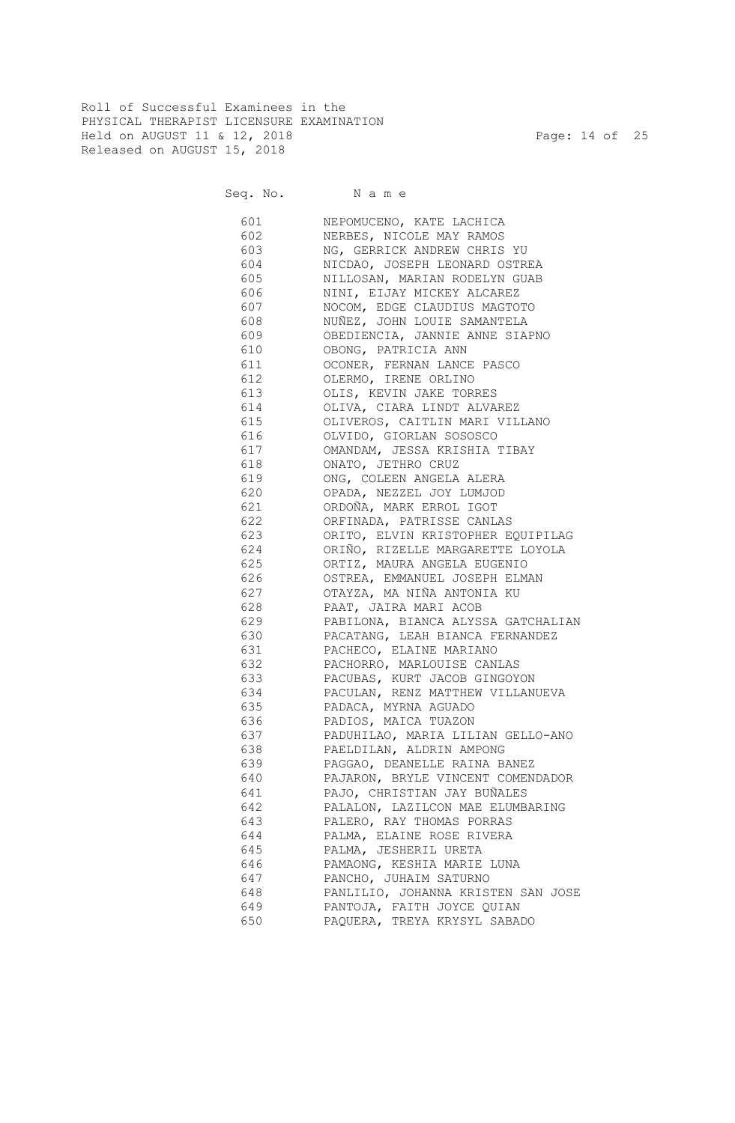Roll of Successful Examinees in the PHYSICAL THERAPIST LICENSURE EXAMINATION Held on AUGUST 11 & 12, 2018 Page: 14 of 25 Released on AUGUST 15, 2018

Seq. No. Name

 601 NEPOMUCENO, KATE LACHICA 602 NERBES, NICOLE MAY RAMOS 603 NG, GERRICK ANDREW CHRIS YU 604 NICDAO, JOSEPH LEONARD OSTREA 605 NILLOSAN, MARIAN RODELYN GUAB 606 NINI, EIJAY MICKEY ALCAREZ 607 NOCOM, EDGE CLAUDIUS MAGTOTO 608 NUÑEZ, JOHN LOUIE SAMANTELA 609 OBEDIENCIA, JANNIE ANNE SIAPNO 610 OBONG, PATRICIA ANN 611 OCONER, FERNAN LANCE PASCO 612 OLERMO, IRENE ORLINO 613 OLIS, KEVIN JAKE TORRES 614 OLIVA, CIARA LINDT ALVAREZ 615 OLIVEROS, CAITLIN MARI VILLANO 616 OLVIDO, GIORLAN SOSOSCO 617 OMANDAM, JESSA KRISHIA TIBAY 618 ONATO, JETHRO CRUZ 619 ONG, COLEEN ANGELA ALERA 620 OPADA, NEZZEL JOY LUMJOD 621 ORDOÑA, MARK ERROL IGOT 622 ORFINADA, PATRISSE CANLAS 623 ORITO, ELVIN KRISTOPHER EQUIPILAG 624 ORIÑO, RIZELLE MARGARETTE LOYOLA 625 ORTIZ, MAURA ANGELA EUGENIO 626 OSTREA, EMMANUEL JOSEPH ELMAN 627 OTAYZA, MA NIÑA ANTONIA KU 628 PAAT, JAIRA MARI ACOB 629 PABILONA, BIANCA ALYSSA GATCHALIAN 630 PACATANG, LEAH BIANCA FERNANDEZ 631 PACHECO, ELAINE MARIANO 632 PACHORRO, MARLOUISE CANLAS 633 PACUBAS, KURT JACOB GINGOYON 634 PACULAN, RENZ MATTHEW VILLANUEVA 635 PADACA, MYRNA AGUADO 636 PADIOS, MAICA TUAZON 637 PADUHILAO, MARIA LILIAN GELLO-ANO 638 PAELDILAN, ALDRIN AMPONG 639 PAGGAO, DEANELLE RAINA BANEZ 640 PAJARON, BRYLE VINCENT COMENDADOR 641 PAJO, CHRISTIAN JAY BUÑALES 642 PALALON, LAZILCON MAE ELUMBARING 643 PALERO, RAY THOMAS PORRAS 644 PALMA, ELAINE ROSE RIVERA 645 PALMA, JESHERIL URETA 646 PAMAONG, KESHIA MARIE LUNA 647 PANCHO, JUHAIM SATURNO 648 PANLILIO, JOHANNA KRISTEN SAN JOSE 649 PANTOJA, FAITH JOYCE QUIAN 650 PAQUERA, TREYA KRYSYL SABADO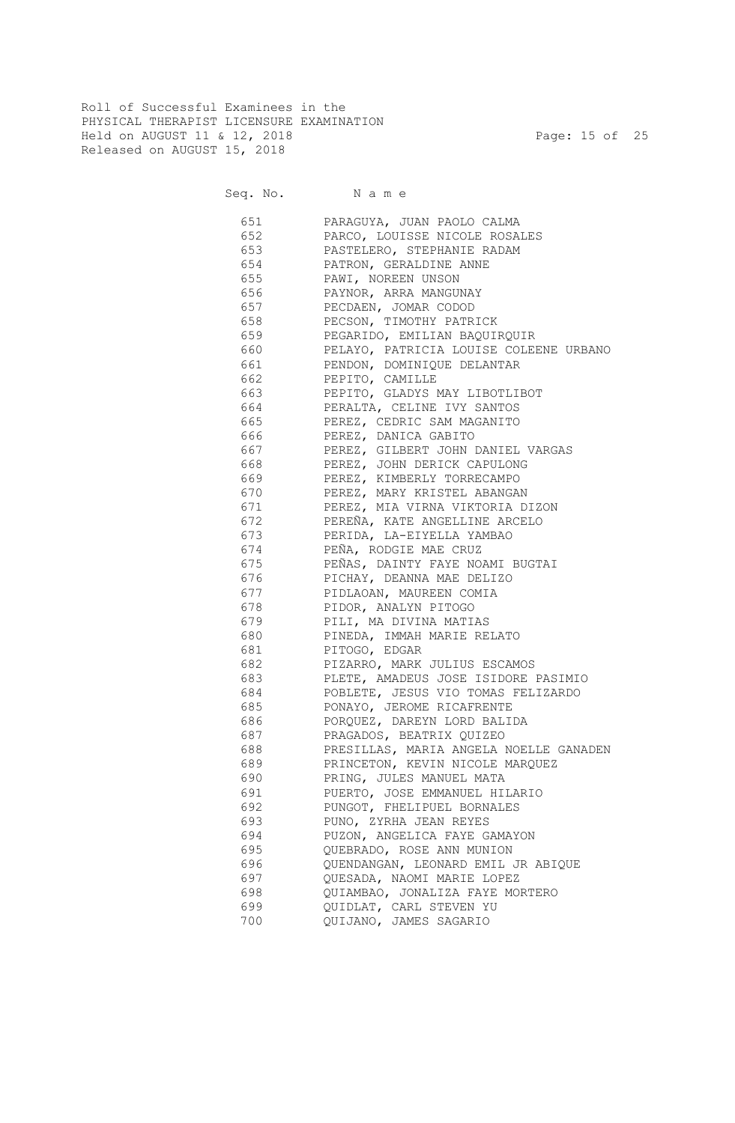Roll of Successful Examinees in the PHYSICAL THERAPIST LICENSURE EXAMINATION Held on AUGUST 11 & 12, 2018 Page: 15 of 25 Released on AUGUST 15, 2018

| 651      | PARAGUYA, JUAN PAOLO CALMA             |
|----------|----------------------------------------|
| 652      | PARCO, LOUISSE NICOLE ROSALES          |
| 653      | PASTELERO, STEPHANIE RADAM             |
| 654      | PATRON, GERALDINE ANNE                 |
| 655      | PAWI, NOREEN UNSON                     |
| 656 1    | PAYNOR, ARRA MANGUNAY                  |
| 657      | PECDAEN, JOMAR CODOD                   |
| 658      | PECSON, TIMOTHY PATRICK                |
| 659      | PEGARIDO, EMILIAN BAQUIRQUIR           |
| 660 — 10 | PELAYO, PATRICIA LOUISE COLEENE URBANO |
| 661 6    | PENDON, DOMINIQUE DELANTAR             |
| 662 —    | PEPITO, CAMILLE                        |
|          | 663 PEPITO, GLADYS MAY LIBOTLIBOT      |
|          | 664 PERALTA, CELINE IVY SANTOS         |
|          | 665 PEREZ, CEDRIC SAM MAGANITO         |
|          | 666 PEREZ, DANICA GABITO               |
|          | 667 PEREZ, GILBERT JOHN DANIEL VARGAS  |
| 668 —    | PEREZ, JOHN DERICK CAPULONG            |
| 669 —    | PEREZ, KIMBERLY TORRECAMPO             |
| 670 —    | PEREZ, MARY KRISTEL ABANGAN            |
| 671      | PEREZ, MIA VIRNA VIKTORIA DIZON        |
| 672      | PEREÑA, KATE ANGELLINE ARCELO          |
| 673      | PERIDA, LA-EIYELLA YAMBAO              |
| 674      | PEÑA, RODGIE MAE CRUZ                  |
| 675      | PEÑAS, DAINTY FAYE NOAMI BUGTAI        |
| 676      | PICHAY, DEANNA MAE DELIZO              |
| 677      | PIDLAOAN, MAUREEN COMIA                |
| 678      | PIDOR, ANALYN PITOGO                   |
| 679      | PILI, MA DIVINA MATIAS                 |
| 680      | PINEDA, IMMAH MARIE RELATO             |
| 681      | PITOGO, EDGAR                          |
| 682      | PIZARRO, MARK JULIUS ESCAMOS           |
| 683      | PLETE, AMADEUS JOSE ISIDORE PASIMIO    |
| 684      | POBLETE, JESUS VIO TOMAS FELIZARDO     |
| 685      | PONAYO, JEROME RICAFRENTE              |
| 686      | PORQUEZ, DAREYN LORD BALIDA            |
| 687      | PRAGADOS, BEATRIX QUIZEO               |
| 688      | PRESILLAS, MARIA ANGELA NOELLE GANADEN |
| 689      | PRINCETON, KEVIN NICOLE MARQUEZ        |
| 690      | PRING, JULES MANUEL MATA               |
| 691      | PUERTO, JOSE EMMANUEL HILARIO          |
| 692      | PUNGOT, FHELIPUEL BORNALES             |
| 693      | PUNO, ZYRHA JEAN REYES                 |
| 694      | PUZON, ANGELICA FAYE GAMAYON           |
| 695      | QUEBRADO, ROSE ANN MUNION              |
| 696      | QUENDANGAN, LEONARD EMIL JR ABIQUE     |
| 697      | QUESADA, NAOMI MARIE LOPEZ             |
| 698      | QUIAMBAO, JONALIZA FAYE MORTERO        |
| 699      | QUIDLAT, CARL STEVEN YU                |
| 700      | QUIJANO, JAMES SAGARIO                 |
|          |                                        |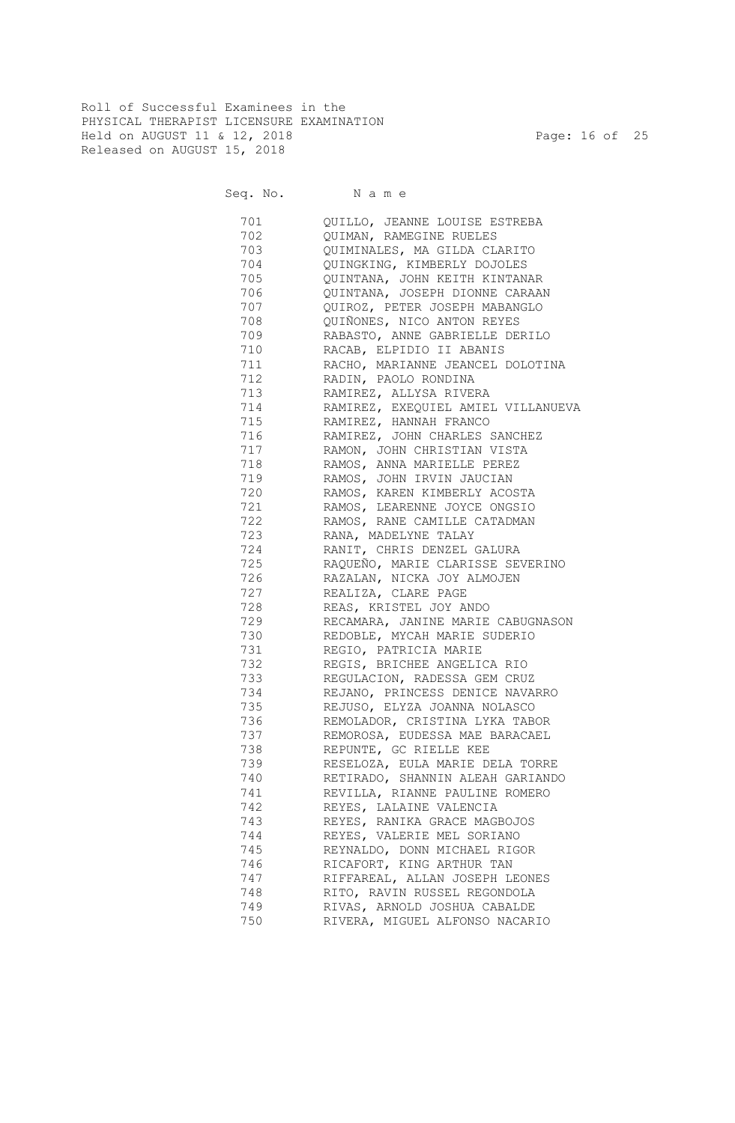Roll of Successful Examinees in the PHYSICAL THERAPIST LICENSURE EXAMINATION Held on AUGUST 11 & 12, 2018 Page: 16 of 25 Released on AUGUST 15, 2018

| 701        | QUILLO, JEANNE LOUISE ESTREBA                                  |
|------------|----------------------------------------------------------------|
| 702        | QUIMAN, RAMEGINE RUELES                                        |
| 703        | QUIMINALES, MA GILDA CLARITO                                   |
| 704        | QUINGKING, KIMBERLY DOJOLES                                    |
| 705        | QUINTANA, JOHN KEITH KINTANAR                                  |
| 706        | QUINTANA, JOSEPH DIONNE CARAAN                                 |
| 707        | QUIROZ, PETER JOSEPH MABANGLO                                  |
| 708        | QUIÑONES, NICO ANTON REYES                                     |
| 709        | RABASTO, ANNE GABRIELLE DERILO                                 |
| 710        | RACAB, ELPIDIO II ABANIS                                       |
| 711        | RACHO, MARIANNE JEANCEL DOLOTINA                               |
| 712        | RADIN, PAOLO RONDINA                                           |
| 713        | RAMIREZ, ALLYSA RIVERA                                         |
| 714        | RAMIREZ, EXEQUIEL AMIEL VILLANUEVA                             |
| 715        | RAMIREZ, HANNAH FRANCO                                         |
| 716        | RAMIREZ, JOHN CHARLES SANCHEZ                                  |
| 717        | RAMON, JOHN CHRISTIAN VISTA                                    |
| 718        | RAMOS, ANNA MARIELLE PEREZ                                     |
| 719        | RAMOS, JOHN IRVIN JAUCIAN                                      |
| 720        | RAMOS, KAREN KIMBERLY ACOSTA                                   |
| 721        | RAMOS, LEARENNE JOYCE ONGSIO                                   |
|            |                                                                |
| 722        | RAMOS, RANE CAMILLE CATADMAN                                   |
| 723        | RANA, MADELYNE TALAY                                           |
| 724        | RANIT, CHRIS DENZEL GALURA<br>RAQUEÑO, MARIE CLARISSE SEVERINO |
| 725        |                                                                |
| 726<br>727 | RAZALAN, NICKA JOY ALMOJEN                                     |
|            | REALIZA, CLARE PAGE                                            |
| 728        | REAS, KRISTEL JOY ANDO                                         |
| 729        | RECAMARA, JANINE MARIE CABUGNASON                              |
| 730        | REDOBLE, MYCAH MARIE SUDERIO                                   |
| 731        | REGIO, PATRICIA MARIE                                          |
| 732        | REGIS, BRICHEE ANGELICA RIO                                    |
| 733        | REGULACION, RADESSA GEM CRUZ                                   |
| 734        | REJANO, PRINCESS DENICE NAVARRO                                |
| 735        | REJUSO, ELYZA JOANNA NOLASCO                                   |
| 736        | REMOLADOR, CRISTINA LYKA TABOR                                 |
| 737        | REMOROSA, EUDESSA MAE BARACAEL                                 |
| 738        | REPUNTE, GC RIELLE KEE                                         |
| 739        | RESELOZA, EULA MARIE DELA TORRE                                |
| 740        | RETIRADO, SHANNIN ALEAH GARIANDO                               |
| 741        | REVILLA, RIANNE PAULINE ROMERO                                 |
| 742        | REYES, LALAINE VALENCIA                                        |
| 743        | REYES, RANIKA GRACE MAGBOJOS                                   |
| 744        | REYES, VALERIE MEL SORIANO                                     |
| 745        | REYNALDO, DONN MICHAEL RIGOR                                   |
| 746        | RICAFORT, KING ARTHUR TAN                                      |
| 747        | RIFFAREAL, ALLAN JOSEPH LEONES                                 |
| 748        | RITO, RAVIN RUSSEL REGONDOLA                                   |
| 749        | RIVAS, ARNOLD JOSHUA CABALDE                                   |
| 750        | RIVERA, MIGUEL ALFONSO NACARIO                                 |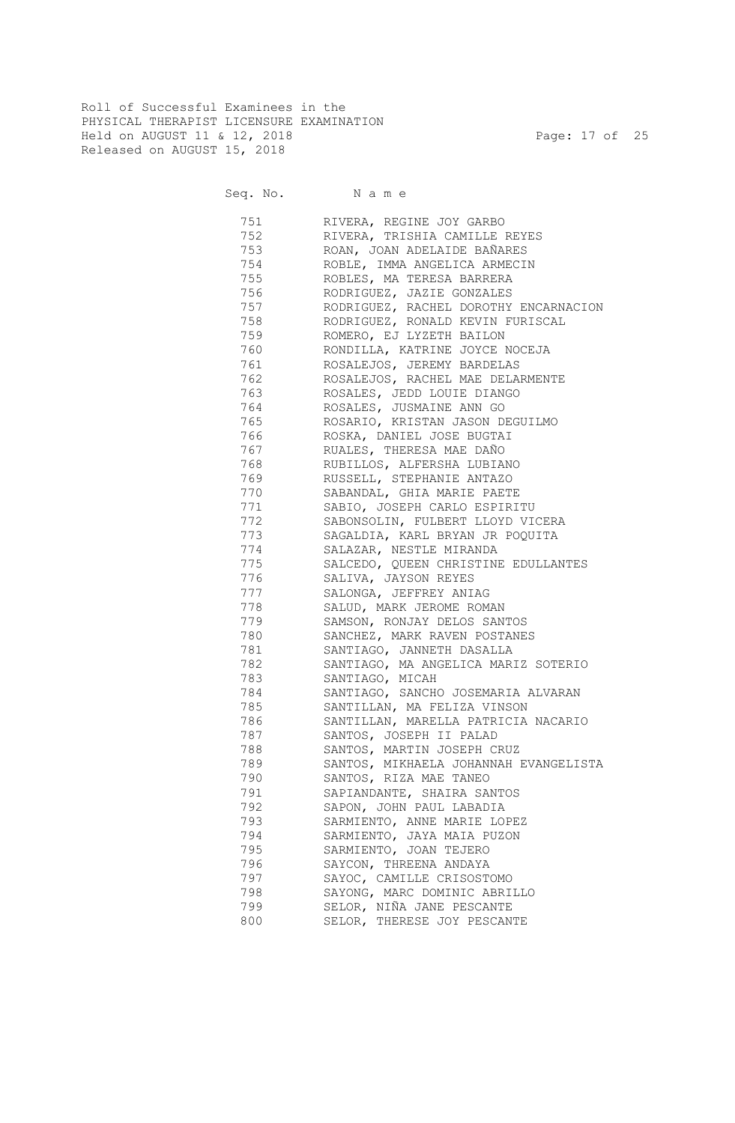Roll of Successful Examinees in the PHYSICAL THERAPIST LICENSURE EXAMINATION Held on AUGUST 11 & 12, 2018 Page: 17 of 25 Released on AUGUST 15, 2018

| 751 | RIVERA, REGINE JOY GARBO              |
|-----|---------------------------------------|
| 752 | RIVERA, TRISHIA CAMILLE REYES         |
| 753 | ROAN, JOAN ADELAIDE BAÑARES           |
| 754 | ROBLE, IMMA ANGELICA ARMECIN          |
| 755 | ROBLES, MA TERESA BARRERA             |
| 756 | RODRIGUEZ, JAZIE GONZALES             |
| 757 | RODRIGUEZ, RACHEL DOROTHY ENCARNACION |
| 758 | RODRIGUEZ, RONALD KEVIN FURISCAL      |
| 759 | ROMERO, EJ LYZETH BAILON              |
| 760 | RONDILLA, KATRINE JOYCE NOCEJA        |
| 761 | ROSALEJOS, JEREMY BARDELAS            |
| 762 | ROSALEJOS, RACHEL MAE DELARMENTE      |
| 763 | ROSALES, JEDD LOUIE DIANGO            |
| 764 | ROSALES, JUSMAINE ANN GO              |
| 765 | ROSARIO, KRISTAN JASON DEGUILMO       |
| 766 | ROSKA, DANIEL JOSE BUGTAI             |
| 767 | RUALES, THERESA MAE DAÑO              |
| 768 | RUBILLOS, ALFERSHA LUBIANO            |
| 769 | RUSSELL, STEPHANIE ANTAZO             |
| 770 | SABANDAL, GHIA MARIE PAETE            |
| 771 | SABIO, JOSEPH CARLO ESPIRITU          |
| 772 | SABONSOLIN, FULBERT LLOYD VICERA      |
| 773 | SAGALDIA, KARL BRYAN JR POQUITA       |
| 774 | SALAZAR, NESTLE MIRANDA               |
| 775 | SALCEDO, QUEEN CHRISTINE EDULLANTES   |
| 776 | SALIVA, JAYSON REYES                  |
| 777 | SALONGA, JEFFREY ANIAG                |
| 778 | SALUD, MARK JEROME ROMAN              |
| 779 | SAMSON, RONJAY DELOS SANTOS           |
| 780 | SANCHEZ, MARK RAVEN POSTANES          |
| 781 | SANTIAGO, JANNETH DASALLA             |
| 782 | SANTIAGO, MA ANGELICA MARIZ SOTERIO   |
| 783 | SANTIAGO, MICAH                       |
| 784 | SANTIAGO, SANCHO JOSEMARIA ALVARAN    |
| 785 | SANTILLAN, MA FELIZA VINSON           |
| 786 | SANTILLAN, MARELLA PATRICIA NACARIO   |
| 787 | SANTOS, JOSEPH II PALAD               |
| 788 | SANTOS, MARTIN JOSEPH CRUZ            |
| 789 | SANTOS, MIKHAELA JOHANNAH EVANGELISTA |
| 790 | SANTOS, RIZA MAE TANEO                |
| 791 | SAPIANDANTE, SHAIRA SANTOS            |
| 792 | SAPON, JOHN PAUL LABADIA              |
| 793 | SARMIENTO, ANNE MARIE LOPEZ           |
| 794 | SARMIENTO, JAYA MAIA PUZON            |
| 795 | SARMIENTO, JOAN TEJERO                |
|     |                                       |
| 796 | SAYCON, THREENA ANDAYA                |
| 797 | SAYOC, CAMILLE CRISOSTOMO             |
| 798 | SAYONG, MARC DOMINIC ABRILLO          |
| 799 | SELOR, NIÑA JANE PESCANTE             |
| 800 | SELOR, THERESE JOY PESCANTE           |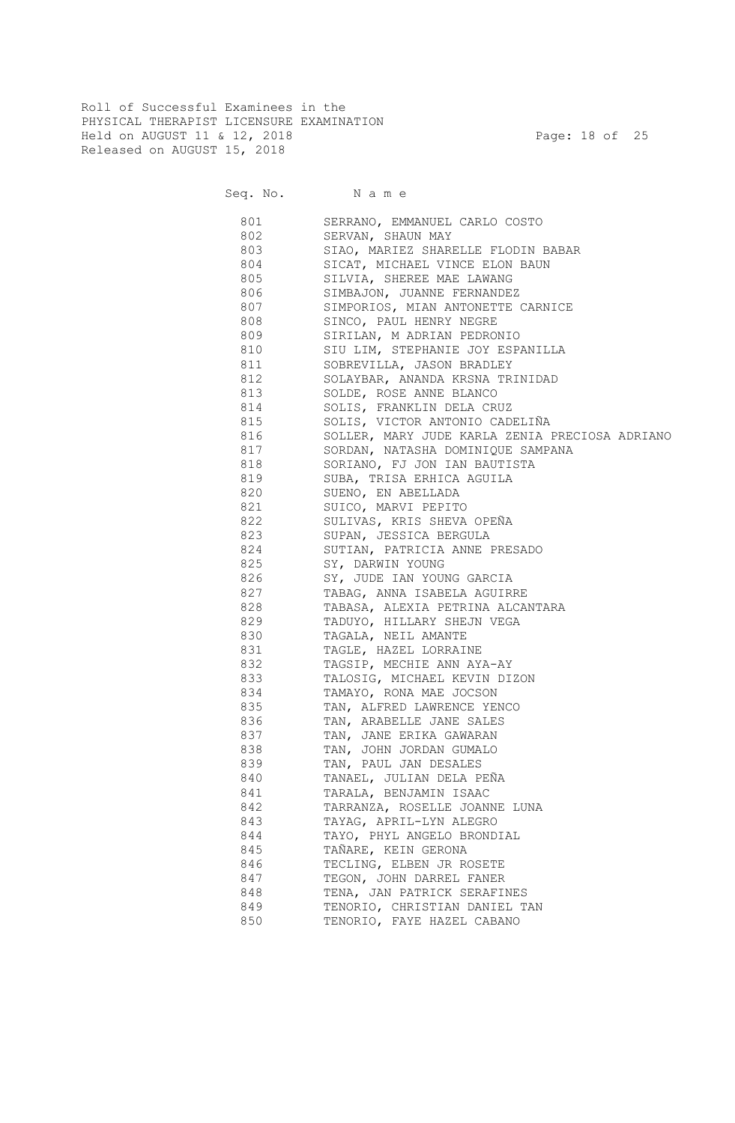Roll of Successful Examinees in the PHYSICAL THERAPIST LICENSURE EXAMINATION Held on AUGUST 11 & 12, 2018 Page: 18 of 25 Released on AUGUST 15, 2018

| 801 | SERRANO, EMMANUEL CARLO COSTO                  |
|-----|------------------------------------------------|
| 802 | SERVAN, SHAUN MAY                              |
| 803 | SIAO, MARIEZ SHARELLE FLODIN BABAR             |
| 804 | SICAT, MICHAEL VINCE ELON BAUN                 |
| 805 | SILVIA, SHEREE MAE LAWANG                      |
| 806 | SIMBAJON, JUANNE FERNANDEZ                     |
| 807 | SIMPORIOS, MIAN ANTONETTE CARNICE              |
| 808 | SINCO, PAUL HENRY NEGRE                        |
| 809 | SIRILAN, M ADRIAN PEDRONIO                     |
| 810 | SIU LIM, STEPHANIE JOY ESPANILLA               |
| 811 | SOBREVILLA, JASON BRADLEY                      |
| 812 | SOLAYBAR, ANANDA KRSNA TRINIDAD                |
| 813 | SOLDE, ROSE ANNE BLANCO                        |
| 814 | SOLIS, FRANKLIN DELA CRUZ                      |
| 815 | SOLIS, VICTOR ANTONIO CADELIÑA                 |
| 816 | SOLLER, MARY JUDE KARLA ZENIA PRECIOSA ADRIANO |
| 817 | SORDAN, NATASHA DOMINIQUE SAMPANA              |
| 818 | SORIANO, FJ JON IAN BAUTISTA                   |
| 819 | SUBA, TRISA ERHICA AGUILA                      |
| 820 | SUENO, EN ABELLADA                             |
| 821 | SUICO, MARVI PEPITO                            |
| 822 | SULIVAS, KRIS SHEVA OPEÑA                      |
| 823 | SUPAN, JESSICA BERGULA                         |
| 824 | SUTIAN, PATRICIA ANNE PRESADO                  |
| 825 | SY, DARWIN YOUNG                               |
| 826 | SY, JUDE IAN YOUNG GARCIA                      |
| 827 | TABAG, ANNA ISABELA AGUIRRE                    |
| 828 | TABASA, ALEXIA PETRINA ALCANTARA               |
| 829 | TADUYO, HILLARY SHEJN VEGA                     |
| 830 | TAGALA, NEIL AMANTE                            |
| 831 | TAGLE, HAZEL LORRAINE                          |
| 832 | TAGSIP, MECHIE ANN AYA-AY                      |
| 833 | TALOSIG, MICHAEL KEVIN DIZON                   |
| 834 | TAMAYO, RONA MAE JOCSON                        |
| 835 | TAN, ALFRED LAWRENCE YENCO                     |
| 836 | TAN, ARABELLE JANE SALES                       |
| 837 | TAN, JANE ERIKA GAWARAN                        |
| 838 | TAN, JOHN JORDAN GUMALO                        |
| 839 | TAN, PAUL JAN DESALES                          |
| 840 | TANAEL, JULIAN DELA PEÑA                       |
| 841 | TARALA, BENJAMIN ISAAC                         |
| 842 | TARRANZA, ROSELLE JOANNE LUNA                  |
| 843 | TAYAG, APRIL-LYN ALEGRO                        |
| 844 | TAYO, PHYL ANGELO BRONDIAL                     |
| 845 | TAÑARE, KEIN GERONA                            |
| 846 | TECLING, ELBEN JR ROSETE                       |
| 847 | TEGON, JOHN DARREL FANER                       |
| 848 | TENA, JAN PATRICK SERAFINES                    |
| 849 | TENORIO, CHRISTIAN DANIEL TAN                  |
| 850 | TENORIO, FAYE HAZEL CABANO                     |
|     |                                                |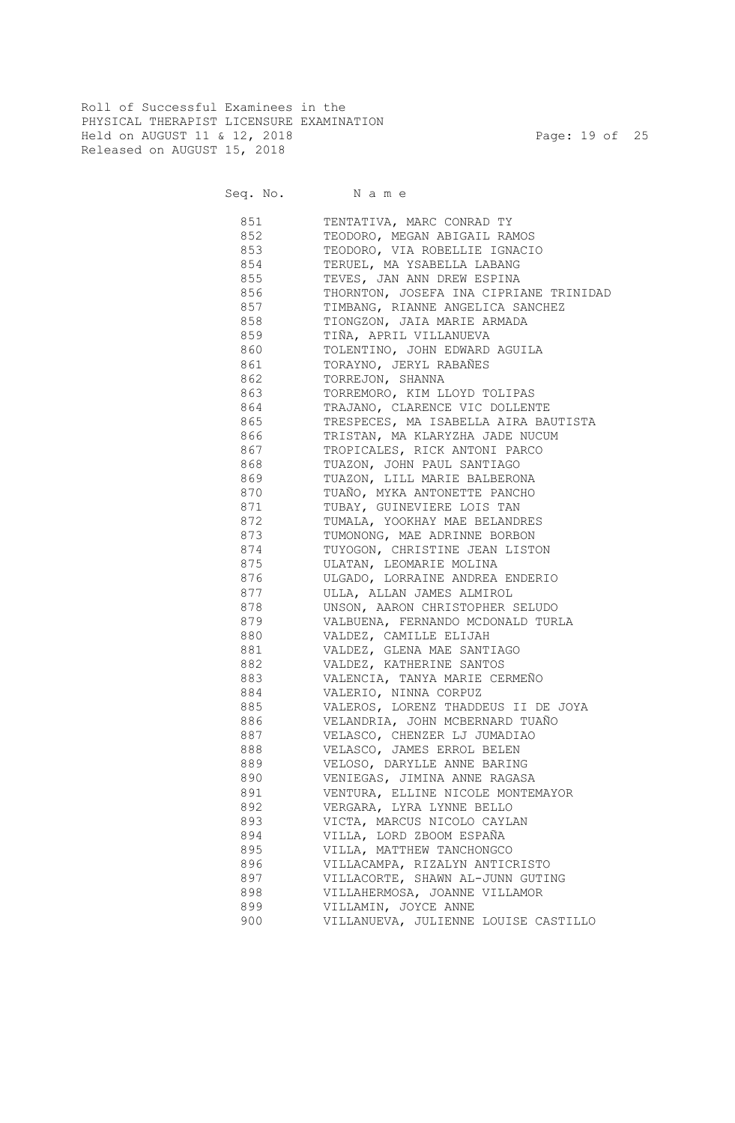Roll of Successful Examinees in the PHYSICAL THERAPIST LICENSURE EXAMINATION Held on AUGUST 11 & 12, 2018 Page: 19 of 25 Released on AUGUST 15, 2018

| 851   | TENTATIVA, MARC CONRAD TY              |
|-------|----------------------------------------|
| 852   | TEODORO, MEGAN ABIGAIL RAMOS           |
| 853   | TEODORO, VIA ROBELLIE IGNACIO          |
| 854   | TERUEL, MA YSABELLA LABANG             |
| 855   | TEVES, JAN ANN DREW ESPINA             |
| 856   | THORNTON, JOSEFA INA CIPRIANE TRINIDAD |
| 857   | TIMBANG, RIANNE ANGELICA SANCHEZ       |
| 858   | TIONGZON, JAIA MARIE ARMADA            |
| 859   | TIÑA, APRIL VILLANUEVA                 |
| 860   | TOLENTINO, JOHN EDWARD AGUILA          |
| 861   | TORAYNO, JERYL RABAÑES                 |
| 862   | TORREJON, SHANNA                       |
| 863   | TORREMORO, KIM LLOYD TOLIPAS           |
| 864   | TRAJANO, CLARENCE VIC DOLLENTE         |
| 865   | TRESPECES, MA ISABELLA AIRA BAUTISTA   |
| 866   | TRISTAN, MA KLARYZHA JADE NUCUM        |
| 867   | TROPICALES, RICK ANTONI PARCO          |
| 868   | TUAZON, JOHN PAUL SANTIAGO             |
| 869   | TUAZON, LILL MARIE BALBERONA           |
| 870   | TUAÑO, MYKA ANTONETTE PANCHO           |
|       |                                        |
| 871   | TUBAY, GUINEVIERE LOIS TAN             |
| 872   | TUMALA, YOOKHAY MAE BELANDRES          |
| 873   | TUMONONG, MAE ADRINNE BORBON           |
| 874   | TUYOGON, CHRISTINE JEAN LISTON         |
| 875   | ULATAN, LEOMARIE MOLINA                |
| 876   | ULGADO, LORRAINE ANDREA ENDERIO        |
| 877   | ULLA, ALLAN JAMES ALMIROL              |
| 878   | UNSON, AARON CHRISTOPHER SELUDO        |
| 879   | VALBUENA, FERNANDO MCDONALD TURLA      |
| 880   | VALDEZ, CAMILLE ELIJAH                 |
| 881   | VALDEZ, GLENA MAE SANTIAGO             |
| 882   | VALDEZ, KATHERINE SANTOS               |
| 883   | VALENCIA, TANYA MARIE CERMEÑO          |
| 884   | VALERIO, NINNA CORPUZ                  |
| 885   | VALEROS, LORENZ THADDEUS II DE JOYA    |
| 886 - | VELANDRIA, JOHN MCBERNARD TUAÑO        |
| 887   | VELASCO, CHENZER LJ JUMADIAO           |
| 888   | VELASCO, JAMES ERROL BELEN             |
| 889   | VELOSO, DARYLLE ANNE BARING            |
| 890   | VENIEGAS, JIMINA ANNE RAGASA           |
| 891   | VENTURA, ELLINE NICOLE MONTEMAYOR      |
| 892   | VERGARA, LYRA LYNNE BELLO              |
| 893   | VICTA, MARCUS NICOLO CAYLAN            |
| 894   | VILLA, LORD ZBOOM ESPAÑA               |
| 895   | VILLA, MATTHEW TANCHONGCO              |
| 896   | VILLACAMPA, RIZALYN ANTICRISTO         |
| 897   | VILLACORTE, SHAWN AL-JUNN GUTING       |
| 898   | VILLAHERMOSA, JOANNE VILLAMOR          |
| 899   | VILLAMIN, JOYCE ANNE                   |
| 900   | VILLANUEVA, JULIENNE LOUISE CASTILLO   |
|       |                                        |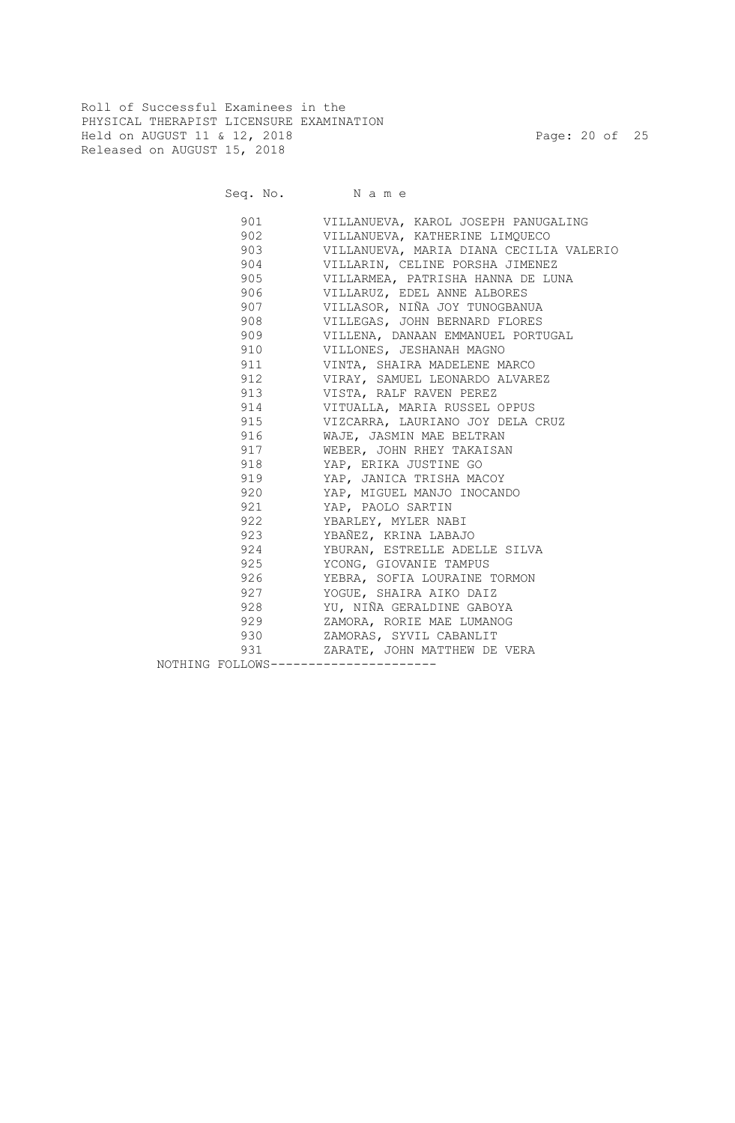Roll of Successful Examinees in the PHYSICAL THERAPIST LICENSURE EXAMINATION Held on AUGUST 11 & 12, 2018 Page: 20 of 25 Released on AUGUST 15, 2018

| Seq. No. | Name                                    |
|----------|-----------------------------------------|
| 901      | VILLANUEVA, KAROL JOSEPH PANUGALING     |
| 902      | VILLANUEVA, KATHERINE LIMOUECO          |
| 903      | VILLANUEVA, MARIA DIANA CECILIA VALERIO |
| 904      | VILLARIN, CELINE PORSHA JIMENEZ         |

| 904                                   | VILLARIN, CELINE PORSHA JIMENEZ   |
|---------------------------------------|-----------------------------------|
| 905                                   | VILLARMEA, PATRISHA HANNA DE LUNA |
| 906                                   | VILLARUZ, EDEL ANNE ALBORES       |
| 907                                   | VILLASOR, NIÑA JOY TUNOGBANUA     |
| 908                                   | VILLEGAS, JOHN BERNARD FLORES     |
| 909                                   | VILLENA, DANAAN EMMANUEL PORTUGAL |
| 910                                   | VILLONES, JESHANAH MAGNO          |
| 911                                   | VINTA, SHAIRA MADELENE MARCO      |
| 912                                   | VIRAY, SAMUEL LEONARDO ALVAREZ    |
| 913                                   | VISTA, RALF RAVEN PEREZ           |
| 914                                   | VITUALLA, MARIA RUSSEL OPPUS      |
| 915                                   | VIZCARRA, LAURIANO JOY DELA CRUZ  |
| 916                                   | WAJE, JASMIN MAE BELTRAN          |
| 917                                   | WEBER, JOHN RHEY TAKAISAN         |
| 918                                   | YAP, ERIKA JUSTINE GO             |
| 919                                   | YAP, JANICA TRISHA MACOY          |
| 920                                   | YAP, MIGUEL MANJO INOCANDO        |
| 921                                   | YAP, PAOLO SARTIN                 |
| 922                                   | YBARLEY, MYLER NABI               |
| 923                                   | YBAÑEZ, KRINA LABAJO              |
| 924                                   | YBURAN, ESTRELLE ADELLE SILVA     |
| 925                                   | YCONG, GIOVANIE TAMPUS            |
| 926                                   | YEBRA, SOFIA LOURAINE TORMON      |
| 927                                   | YOGUE, SHAIRA AIKO DAIZ           |
| 928                                   | YU, NIÑA GERALDINE GABOYA         |
| 929                                   | ZAMORA, RORIE MAE LUMANOG         |
| 930                                   | ZAMORAS, SYVIL CABANLIT           |
| 931                                   | ZARATE, JOHN MATTHEW DE VERA      |
| NOTHING FOLLOWS---------------------- |                                   |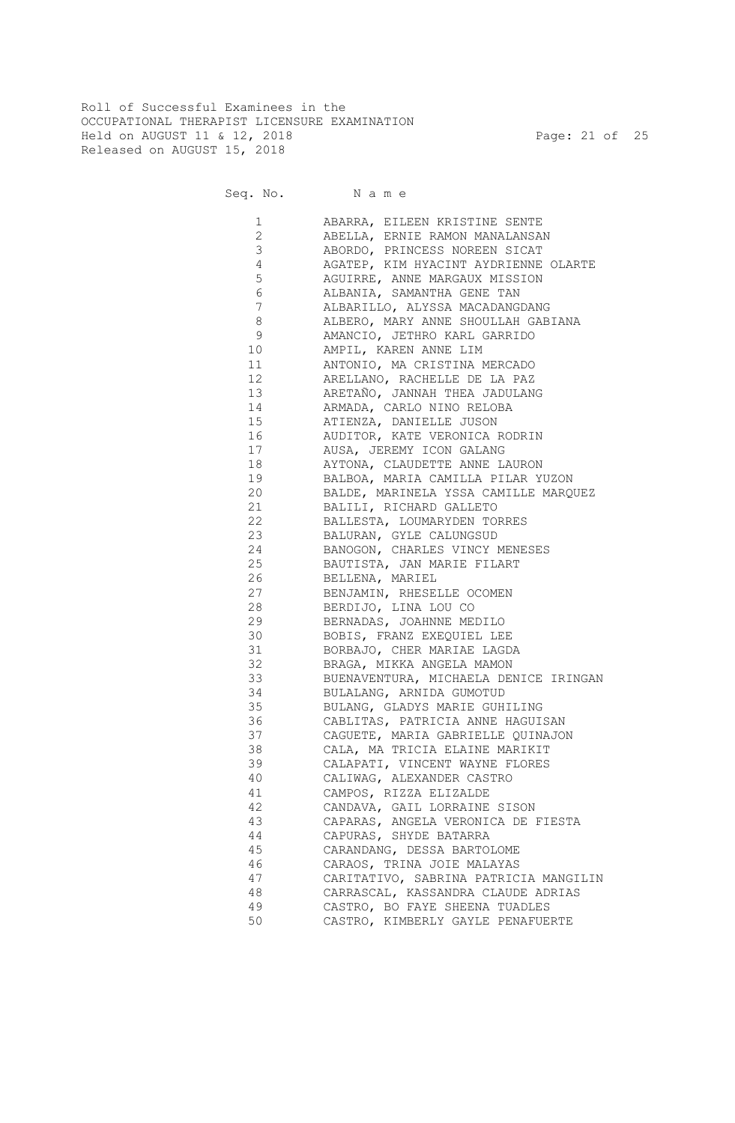Roll of Successful Examinees in the OCCUPATIONAL THERAPIST LICENSURE EXAMINATION Held on AUGUST 11 & 12, 2018 Page: 21 of 25 Released on AUGUST 15, 2018

Seq. No. Name

 1 ABARRA, EILEEN KRISTINE SENTE 2 ABELLA, ERNIE RAMON MANALANSAN 3 ABORDO, PRINCESS NOREEN SICAT 4 AGATEP, KIM HYACINT AYDRIENNE OLARTE 5 AGUIRRE, ANNE MARGAUX MISSION 6 ALBANIA, SAMANTHA GENE TAN 7 ALBARILLO, ALYSSA MACADANGDANG 8 ALBERO, MARY ANNE SHOULLAH GABIANA 9 AMANCIO, JETHRO KARL GARRIDO 10 AMPIL, KAREN ANNE LIM 11 ANTONIO, MA CRISTINA MERCADO 12 ARELLANO, RACHELLE DE LA PAZ 13 ARETAÑO, JANNAH THEA JADULANG 14 ARMADA, CARLO NINO RELOBA 15 ATIENZA, DANIELLE JUSON 16 AUDITOR, KATE VERONICA RODRIN 17 AUSA, JEREMY ICON GALANG 18 AYTONA, CLAUDETTE ANNE LAURON 19 BALBOA, MARIA CAMILLA PILAR YUZON 20 BALDE, MARINELA YSSA CAMILLE MARQUEZ 21 BALILI, RICHARD GALLETO 22 BALLESTA, LOUMARYDEN TORRES 23 BALURAN, GYLE CALUNGSUD 24 BANOGON, CHARLES VINCY MENESES 25 BAUTISTA, JAN MARIE FILART 26 BELLENA, MARIEL 27 BENJAMIN, RHESELLE OCOMEN 28 BERDIJO, LINA LOU CO 29 BERNADAS, JOAHNNE MEDILO 30 BOBIS, FRANZ EXEQUIEL LEE 31 BORBAJO, CHER MARIAE LAGDA 32 BRAGA, MIKKA ANGELA MAMON 33 BUENAVENTURA, MICHAELA DENICE IRINGAN 34 BULALANG, ARNIDA GUMOTUD 35 BULANG, GLADYS MARIE GUHILING 36 CABLITAS, PATRICIA ANNE HAGUISAN 37 CAGUETE, MARIA GABRIELLE QUINAJON 38 CALA, MA TRICIA ELAINE MARIKIT 39 CALAPATI, VINCENT WAYNE FLORES 40 CALIWAG, ALEXANDER CASTRO 41 CAMPOS, RIZZA ELIZALDE 42 CANDAVA, GAIL LORRAINE SISON 43 CAPARAS, ANGELA VERONICA DE FIESTA 44 CAPURAS, SHYDE BATARRA 45 CARANDANG, DESSA BARTOLOME 46 CARAOS, TRINA JOIE MALAYAS 47 CARITATIVO, SABRINA PATRICIA MANGILIN 48 CARRASCAL, KASSANDRA CLAUDE ADRIAS 49 CASTRO, BO FAYE SHEENA TUADLES 50 CASTRO, KIMBERLY GAYLE PENAFUERTE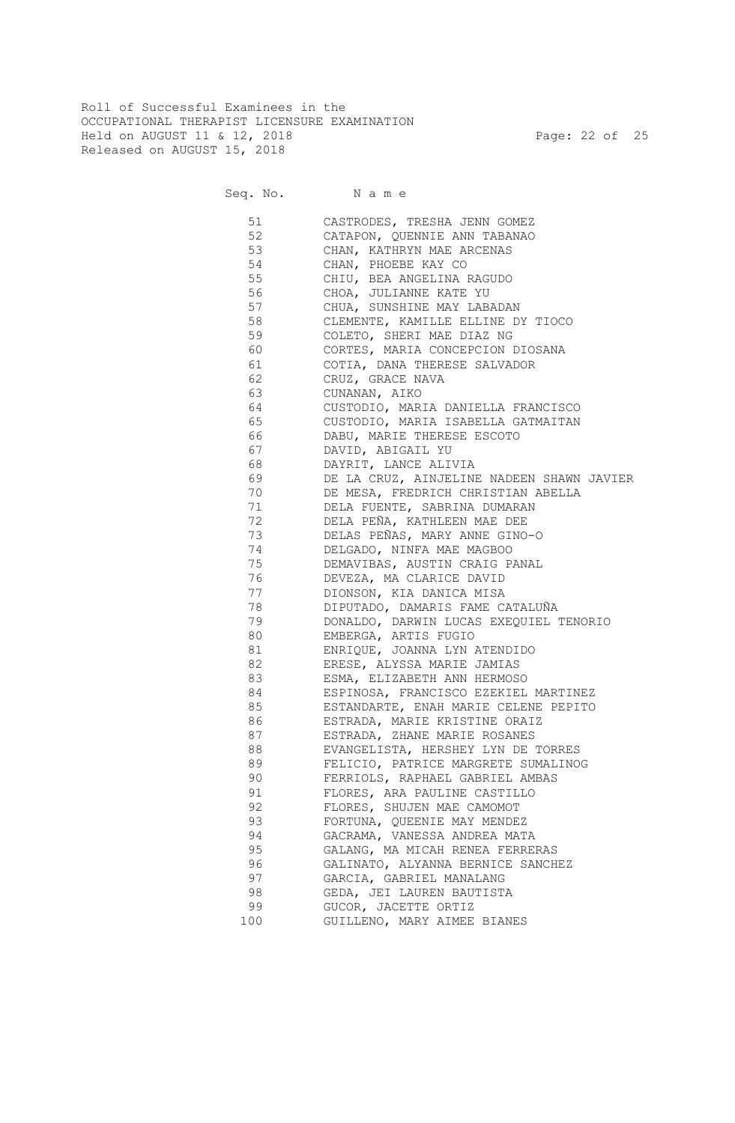Roll of Successful Examinees in the OCCUPATIONAL THERAPIST LICENSURE EXAMINATION Held on AUGUST 11 & 12, 2018 Page: 22 of 25 Released on AUGUST 15, 2018

Seq. No. Name

 51 CASTRODES, TRESHA JENN GOMEZ 52 CATAPON, QUENNIE ANN TABANAO 53 CHAN, KATHRYN MAE ARCENAS 54 CHAN, PHOEBE KAY CO 55 CHIU, BEA ANGELINA RAGUDO 56 CHOA, JULIANNE KATE YU 57 CHUA, SUNSHINE MAY LABADAN 58 CLEMENTE, KAMILLE ELLINE DY TIOCO 59 COLETO, SHERI MAE DIAZ NG 60 CORTES, MARIA CONCEPCION DIOSANA 61 COTIA, DANA THERESE SALVADOR 62 CRUZ, GRACE NAVA 63 CUNANAN, AIKO 64 CUSTODIO, MARIA DANIELLA FRANCISCO 65 CUSTODIO, MARIA ISABELLA GATMAITAN 66 DABU, MARIE THERESE ESCOTO 67 DAVID, ABIGAIL YU 68 DAYRIT, LANCE ALIVIA 69 DE LA CRUZ, AINJELINE NADEEN SHAWN JAVIER 70 DE MESA, FREDRICH CHRISTIAN ABELLA 71 DELA FUENTE, SABRINA DUMARAN 72 DELA PEÑA, KATHLEEN MAE DEE 73 DELAS PEÑAS, MARY ANNE GINO-O 74 DELGADO, NINFA MAE MAGBOO<br>75 DEMAVIBAS, AUSTIN CRAIG P. DEMAVIBAS, AUSTIN CRAIG PANAL 76 DEVEZA, MA CLARICE DAVID 77 DIONSON, KIA DANICA MISA 78 DIPUTADO, DAMARIS FAME CATALUÑA 79 DONALDO, DARWIN LUCAS EXEQUIEL TENORIO 80 EMBERGA, ARTIS FUGIO 81 ENRIQUE, JOANNA LYN ATENDIDO 82 ERESE, ALYSSA MARIE JAMIAS 83 ESMA, ELIZABETH ANN HERMOSO 84 ESPINOSA, FRANCISCO EZEKIEL MARTINEZ 85 ESTANDARTE, ENAH MARIE CELENE PEPITO 86 ESTRADA, MARIE KRISTINE ORAIZ 87 ESTRADA, ZHANE MARIE ROSANES 88 EVANGELISTA, HERSHEY LYN DE TORRES 89 FELICIO, PATRICE MARGRETE SUMALINOG 90 FERRIOLS, RAPHAEL GABRIEL AMBAS 91 FLORES, ARA PAULINE CASTILLO 92 FLORES, SHUJEN MAE CAMOMOT 93 FORTUNA, QUEENIE MAY MENDEZ 94 GACRAMA, VANESSA ANDREA MATA 95 GALANG, MA MICAH RENEA FERRERAS 96 GALINATO, ALYANNA BERNICE SANCHEZ 97 GARCIA, GABRIEL MANALANG GEDA, JEI LAUREN BAUTISTA 99 GUCOR, JACETTE ORTIZ 100 GUILLENO, MARY AIMEE BIANES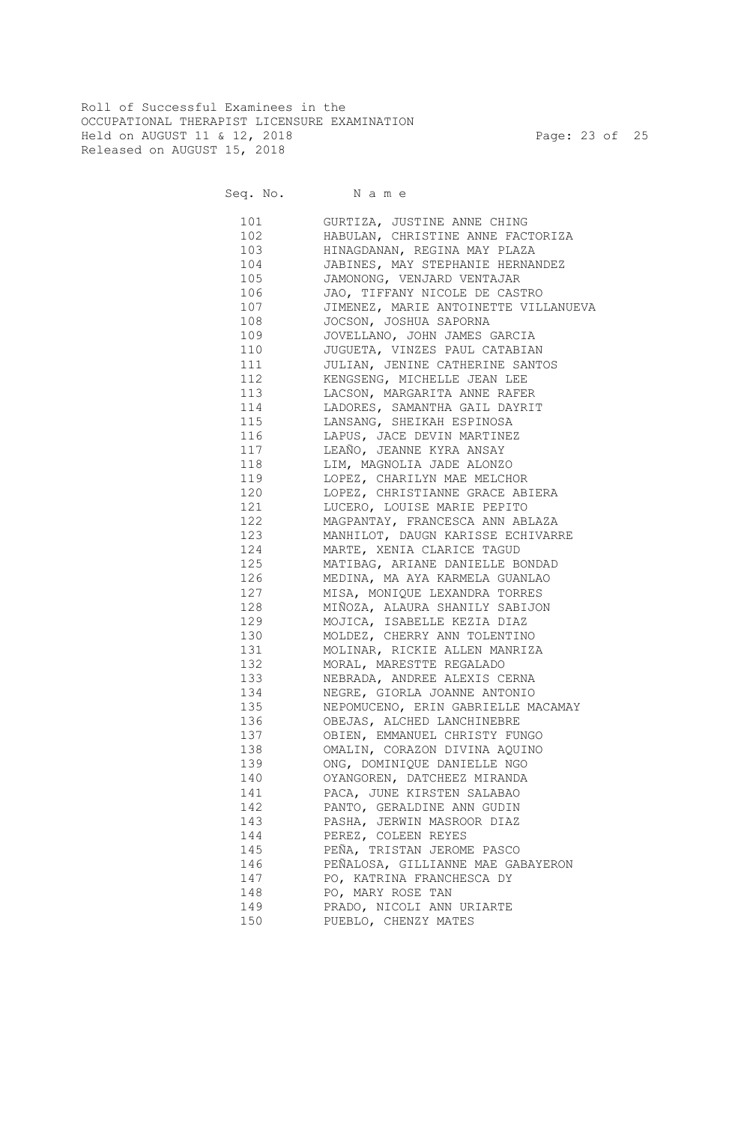Roll of Successful Examinees in the OCCUPATIONAL THERAPIST LICENSURE EXAMINATION Held on AUGUST 11 & 12, 2018 Page: 23 of 25 Released on AUGUST 15, 2018

Seq. No. Name

 101 GURTIZA, JUSTINE ANNE CHING 102 HABULAN, CHRISTINE ANNE FACTORIZA 103 HINAGDANAN, REGINA MAY PLAZA 104 JABINES, MAY STEPHANIE HERNANDEZ 105 JAMONONG, VENJARD VENTAJAR 106 JAO, TIFFANY NICOLE DE CASTRO 107 JIMENEZ, MARIE ANTOINETTE VILLANUEVA 108 JOCSON, JOSHUA SAPORNA 109 JOVELLANO, JOHN JAMES GARCIA 110 JUGUETA, VINZES PAUL CATABIAN 111 JULIAN, JENINE CATHERINE SANTOS 112 KENGSENG, MICHELLE JEAN LEE 113 LACSON, MARGARITA ANNE RAFER 114 LADORES, SAMANTHA GAIL DAYRIT 115 LANSANG, SHEIKAH ESPINOSA 116 LAPUS, JACE DEVIN MARTINEZ 117 LEAÑO, JEANNE KYRA ANSAY 118 LIM, MAGNOLIA JADE ALONZO 119 LOPEZ, CHARILYN MAE MELCHOR 120 LOPEZ, CHRISTIANNE GRACE ABIERA 121 LUCERO, LOUISE MARIE PEPITO 122 MAGPANTAY, FRANCESCA ANN ABLAZA 123 MANHILOT, DAUGN KARISSE ECHIVARRE 124 MARTE, XENIA CLARICE TAGUD 125 MATIBAG, ARIANE DANIELLE BONDAD 126 MEDINA, MA AYA KARMELA GUANLAO 127 MISA, MONIQUE LEXANDRA TORRES 128 MIÑOZA, ALAURA SHANILY SABIJON 129 MOJICA, ISABELLE KEZIA DIAZ 130 MOLDEZ, CHERRY ANN TOLENTINO 131 MOLINAR, RICKIE ALLEN MANRIZA 132 MORAL, MARESTTE REGALADO 133 NEBRADA, ANDREE ALEXIS CERNA 134 NEGRE, GIORLA JOANNE ANTONIO 135 NEPOMUCENO, ERIN GABRIELLE MACAMAY 136 OBEJAS, ALCHED LANCHINEBRE 137 OBIEN, EMMANUEL CHRISTY FUNGO 138 OMALIN, CORAZON DIVINA AQUINO 139 ONG, DOMINIQUE DANIELLE NGO 140 OYANGOREN, DATCHEEZ MIRANDA 141 PACA, JUNE KIRSTEN SALABAO 142 PANTO, GERALDINE ANN GUDIN 143 PASHA, JERWIN MASROOR DIAZ 144 PEREZ, COLEEN REYES 145 PEÑA, TRISTAN JEROME PASCO 146 PEÑALOSA, GILLIANNE MAE GABAYERON 147 PO, KATRINA FRANCHESCA DY 148 PO, MARY ROSE TAN 149 PRADO, NICOLI ANN URIARTE 150 PUEBLO, CHENZY MATES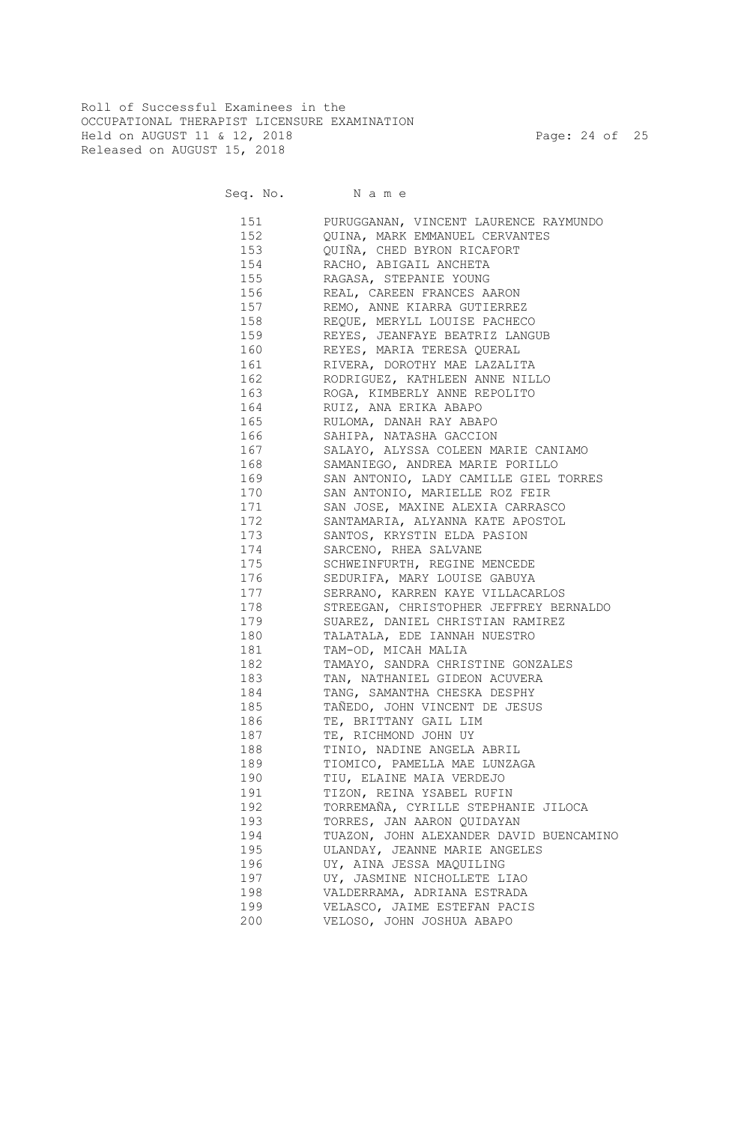Roll of Successful Examinees in the OCCUPATIONAL THERAPIST LICENSURE EXAMINATION Held on AUGUST 11 & 12, 2018 Page: 24 of 25 Released on AUGUST 15, 2018

Seq. No. Name

 151 PURUGGANAN, VINCENT LAURENCE RAYMUNDO 152 QUINA, MARK EMMANUEL CERVANTES 153 QUIÑA, CHED BYRON RICAFORT 154 RACHO, ABIGAIL ANCHETA 155 RAGASA, STEPANIE YOUNG 156 REAL, CAREEN FRANCES AARON 157 REMO, ANNE KIARRA GUTIERREZ 158 REQUE, MERYLL LOUISE PACHECO 159 REYES, JEANFAYE BEATRIZ LANGUB 160 REYES, MARIA TERESA QUERAL 161 RIVERA, DOROTHY MAE LAZALITA 162 RODRIGUEZ, KATHLEEN ANNE NILLO 163 ROGA, KIMBERLY ANNE REPOLITO 164 RUIZ, ANA ERIKA ABAPO 165 RULOMA, DANAH RAY ABAPO 166 SAHIPA, NATASHA GACCION 167 SALAYO, ALYSSA COLEEN MARIE CANIAMO 168 SAMANIEGO, ANDREA MARIE PORILLO 169 SAN ANTONIO, LADY CAMILLE GIEL TORRES 170 SAN ANTONIO, MARIELLE ROZ FEIR 171 SAN JOSE, MAXINE ALEXIA CARRASCO 172 SANTAMARIA, ALYANNA KATE APOSTOL 173 SANTOS, KRYSTIN ELDA PASION 174 SARCENO, RHEA SALVANE 175 SCHWEINFURTH, REGINE MENCEDE 176 SEDURIFA, MARY LOUISE GABUYA 177 SERRANO, KARREN KAYE VILLACARLOS 178 STREEGAN, CHRISTOPHER JEFFREY BERNALDO 179 SUAREZ, DANIEL CHRISTIAN RAMIREZ 180 TALATALA, EDE IANNAH NUESTRO 181 TAM-OD, MICAH MALIA 182 TAMAYO, SANDRA CHRISTINE GONZALES 183 TAN, NATHANIEL GIDEON ACUVERA 184 TANG, SAMANTHA CHESKA DESPHY 185 TAÑEDO, JOHN VINCENT DE JESUS 186 TE, BRITTANY GAIL LIM 187 TE, RICHMOND JOHN UY 188 TINIO, NADINE ANGELA ABRIL 189 TIOMICO, PAMELLA MAE LUNZAGA 190 TIU, ELAINE MAIA VERDEJO 191 TIZON, REINA YSABEL RUFIN 192 TORREMAÑA, CYRILLE STEPHANIE JILOCA 193 TORRES, JAN AARON QUIDAYAN 194 TUAZON, JOHN ALEXANDER DAVID BUENCAMINO 195 ULANDAY, JEANNE MARIE ANGELES 196 UY, AINA JESSA MAQUILING 197 UY, JASMINE NICHOLLETE LIAO 198 VALDERRAMA, ADRIANA ESTRADA 199 VELASCO, JAIME ESTEFAN PACIS 200 VELOSO, JOHN JOSHUA ABAPO